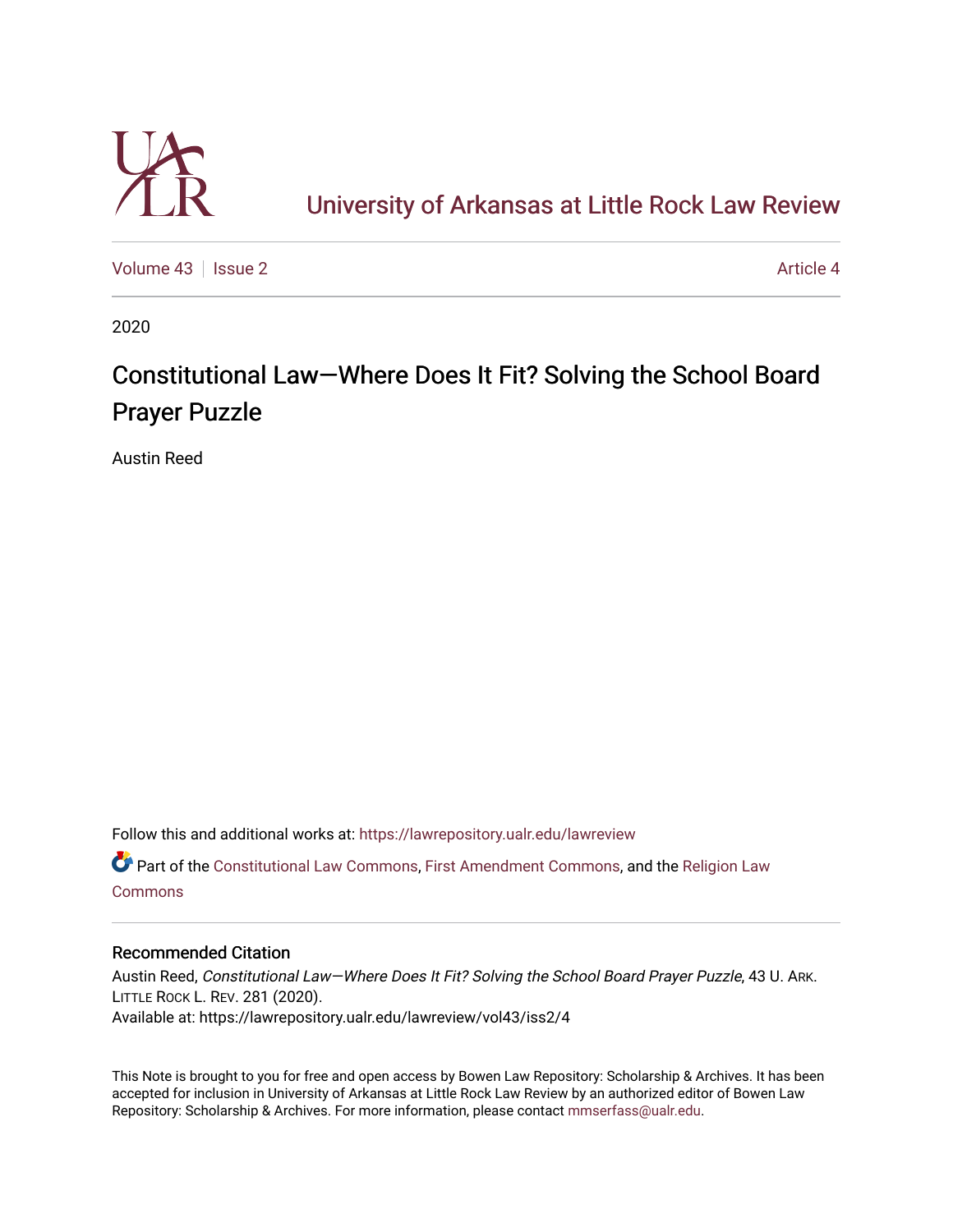

## [University of Arkansas at Little Rock Law Review](https://lawrepository.ualr.edu/lawreview)

[Volume 43](https://lawrepository.ualr.edu/lawreview/vol43) | [Issue 2](https://lawrepository.ualr.edu/lawreview/vol43/iss2) [Article 4](https://lawrepository.ualr.edu/lawreview/vol43/iss2/4) Article 4

2020

# Constitutional Law—Where Does It Fit? Solving the School Board Prayer Puzzle

Austin Reed

Follow this and additional works at: [https://lawrepository.ualr.edu/lawreview](https://lawrepository.ualr.edu/lawreview?utm_source=lawrepository.ualr.edu%2Flawreview%2Fvol43%2Fiss2%2F4&utm_medium=PDF&utm_campaign=PDFCoverPages) 

Part of the [Constitutional Law Commons,](https://network.bepress.com/hgg/discipline/589?utm_source=lawrepository.ualr.edu%2Flawreview%2Fvol43%2Fiss2%2F4&utm_medium=PDF&utm_campaign=PDFCoverPages) [First Amendment Commons,](https://network.bepress.com/hgg/discipline/1115?utm_source=lawrepository.ualr.edu%2Flawreview%2Fvol43%2Fiss2%2F4&utm_medium=PDF&utm_campaign=PDFCoverPages) and the [Religion Law](https://network.bepress.com/hgg/discipline/872?utm_source=lawrepository.ualr.edu%2Flawreview%2Fvol43%2Fiss2%2F4&utm_medium=PDF&utm_campaign=PDFCoverPages) [Commons](https://network.bepress.com/hgg/discipline/872?utm_source=lawrepository.ualr.edu%2Flawreview%2Fvol43%2Fiss2%2F4&utm_medium=PDF&utm_campaign=PDFCoverPages)

## Recommended Citation

Austin Reed, Constitutional Law—Where Does It Fit? Solving the School Board Prayer Puzzle, 43 U. ARK. LITTLE ROCK L. REV. 281 (2020). Available at: https://lawrepository.ualr.edu/lawreview/vol43/iss2/4

This Note is brought to you for free and open access by Bowen Law Repository: Scholarship & Archives. It has been accepted for inclusion in University of Arkansas at Little Rock Law Review by an authorized editor of Bowen Law Repository: Scholarship & Archives. For more information, please contact [mmserfass@ualr.edu](mailto:mmserfass@ualr.edu).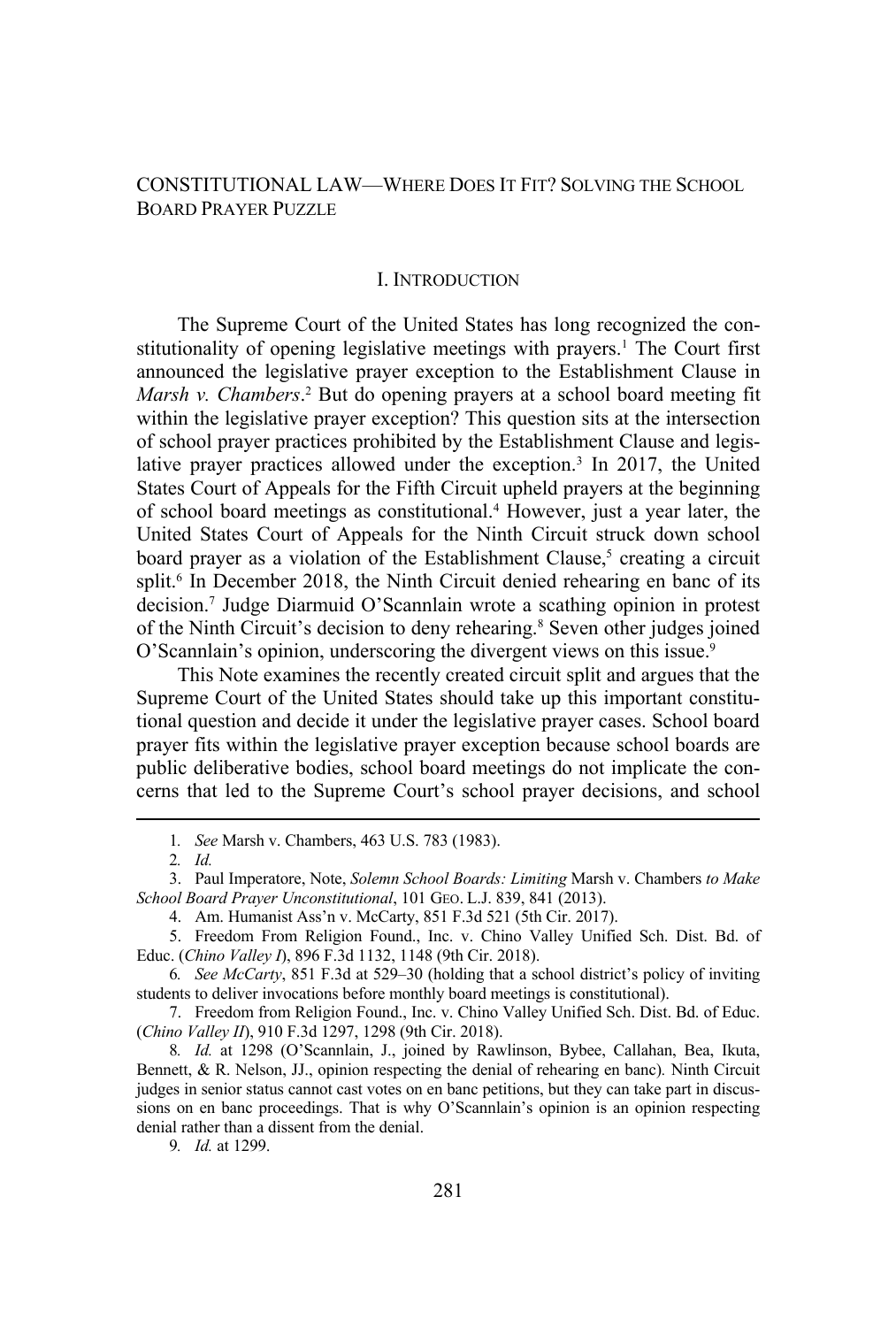## CONSTITUTIONAL LAW—WHERE DOES IT FIT? SOLVING THE SCHOOL BOARD PRAYER PUZZLE

## I. INTRODUCTION

The Supreme Court of the United States has long recognized the constitutionality of opening legislative meetings with prayers.<sup>1</sup> The Court first announced the legislative prayer exception to the Establishment Clause in Marsh v. Chambers.<sup>2</sup> But do opening prayers at a school board meeting fit within the legislative prayer exception? This question sits at the intersection of school prayer practices prohibited by the Establishment Clause and legislative prayer practices allowed under the exception.<sup>3</sup> In 2017, the United States Court of Appeals for the Fifth Circuit upheld prayers at the beginning of school board meetings as constitutional.<sup>4</sup> However, just a year later, the United States Court of Appeals for the Ninth Circuit struck down school board prayer as a violation of the Establishment Clause,<sup>5</sup> creating a circuit split.<sup>6</sup> In December 2018, the Ninth Circuit denied rehearing en banc of its decision.7 Judge Diarmuid O'Scannlain wrote a scathing opinion in protest of the Ninth Circuit's decision to deny rehearing.<sup>8</sup> Seven other judges joined O'Scannlain's opinion, underscoring the divergent views on this issue.<sup>9</sup>

This Note examines the recently created circuit split and argues that the Supreme Court of the United States should take up this important constitutional question and decide it under the legislative prayer cases. School board prayer fits within the legislative prayer exception because school boards are public deliberative bodies, school board meetings do not implicate the concerns that led to the Supreme Court's school prayer decisions, and school

<sup>1</sup>*. See* Marsh v. Chambers, 463 U.S. 783 (1983).

<sup>2</sup>*. Id.*

<sup>3.</sup> Paul Imperatore, Note, *Solemn School Boards: Limiting* Marsh v. Chambers *to Make School Board Prayer Unconstitutional*, 101 GEO. L.J. 839, 841 (2013).

<sup>4.</sup> Am. Humanist Ass'n v. McCarty, 851 F.3d 521 (5th Cir. 2017).

<sup>5.</sup> Freedom From Religion Found., Inc. v. Chino Valley Unified Sch. Dist. Bd. of Educ. (*Chino Valley I*), 896 F.3d 1132, 1148 (9th Cir. 2018).

<sup>6</sup>*. See McCarty*, 851 F.3d at 529–30 (holding that a school district's policy of inviting students to deliver invocations before monthly board meetings is constitutional).

<sup>7.</sup> Freedom from Religion Found., Inc. v. Chino Valley Unified Sch. Dist. Bd. of Educ. (*Chino Valley II*), 910 F.3d 1297, 1298 (9th Cir. 2018).

<sup>8</sup>*. Id.* at 1298 (O'Scannlain, J., joined by Rawlinson, Bybee, Callahan, Bea, Ikuta, Bennett, & R. Nelson, JJ., opinion respecting the denial of rehearing en banc)*.* Ninth Circuit judges in senior status cannot cast votes on en banc petitions, but they can take part in discussions on en banc proceedings. That is why O'Scannlain's opinion is an opinion respecting denial rather than a dissent from the denial.

<sup>9</sup>*. Id.* at 1299.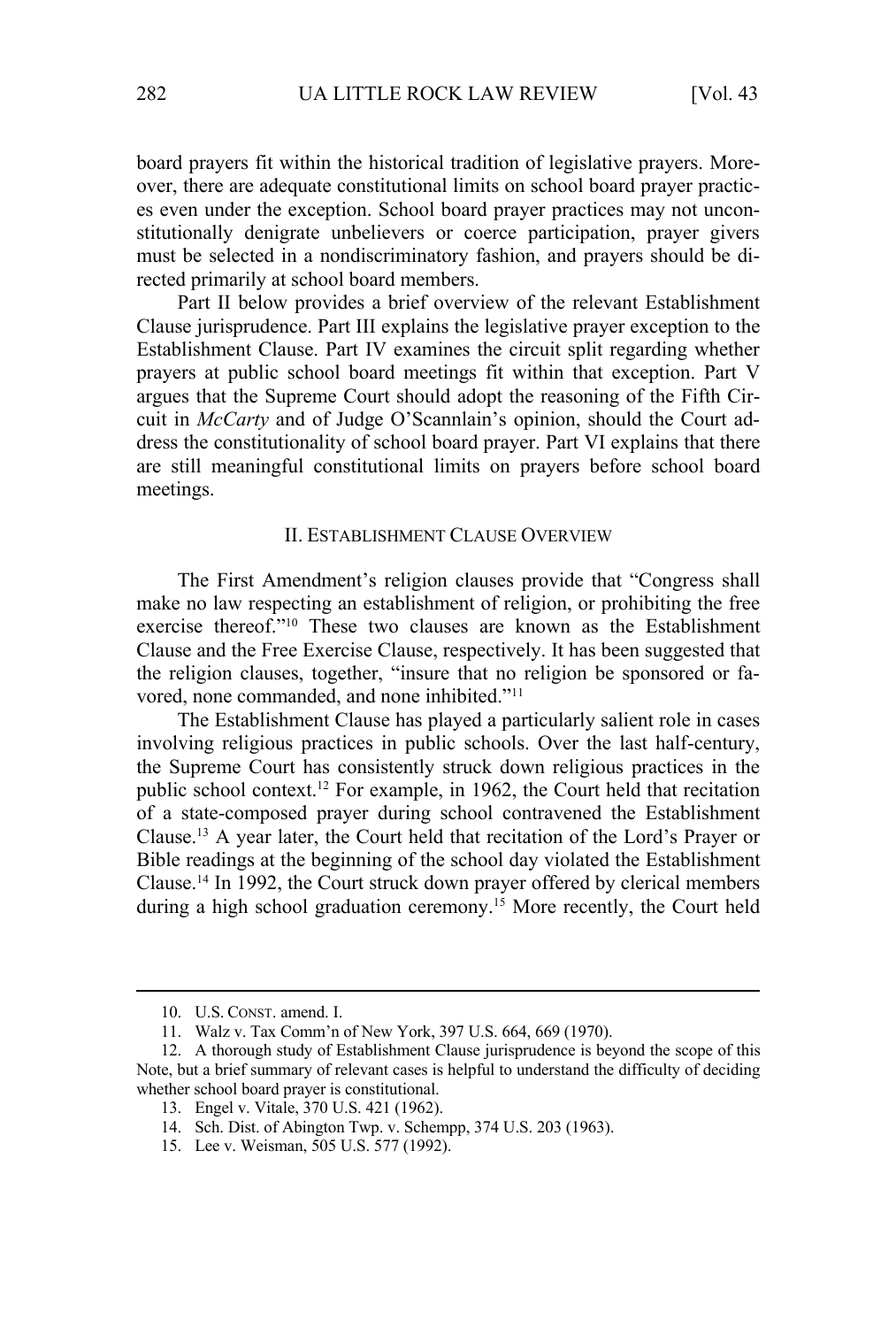board prayers fit within the historical tradition of legislative prayers. Moreover, there are adequate constitutional limits on school board prayer practices even under the exception. School board prayer practices may not unconstitutionally denigrate unbelievers or coerce participation, prayer givers must be selected in a nondiscriminatory fashion, and prayers should be directed primarily at school board members.

Part II below provides a brief overview of the relevant Establishment Clause jurisprudence. Part III explains the legislative prayer exception to the Establishment Clause. Part IV examines the circuit split regarding whether prayers at public school board meetings fit within that exception. Part V argues that the Supreme Court should adopt the reasoning of the Fifth Circuit in *McCarty* and of Judge O'Scannlain's opinion, should the Court address the constitutionality of school board prayer. Part VI explains that there are still meaningful constitutional limits on prayers before school board meetings.

#### II. ESTABLISHMENT CLAUSE OVERVIEW

The First Amendment's religion clauses provide that "Congress shall make no law respecting an establishment of religion, or prohibiting the free exercise thereof."10 These two clauses are known as the Establishment Clause and the Free Exercise Clause, respectively. It has been suggested that the religion clauses, together, "insure that no religion be sponsored or favored, none commanded, and none inhibited."11

The Establishment Clause has played a particularly salient role in cases involving religious practices in public schools. Over the last half-century, the Supreme Court has consistently struck down religious practices in the public school context.<sup>12</sup> For example, in 1962, the Court held that recitation of a state-composed prayer during school contravened the Establishment Clause.13 A year later, the Court held that recitation of the Lord's Prayer or Bible readings at the beginning of the school day violated the Establishment Clause.14 In 1992, the Court struck down prayer offered by clerical members during a high school graduation ceremony.<sup>15</sup> More recently, the Court held

<sup>10.</sup> U.S. CONST. amend. I.

<sup>11.</sup> Walz v. Tax Comm'n of New York, 397 U.S. 664, 669 (1970).

<sup>12.</sup> A thorough study of Establishment Clause jurisprudence is beyond the scope of this Note, but a brief summary of relevant cases is helpful to understand the difficulty of deciding whether school board prayer is constitutional.

<sup>13.</sup> Engel v. Vitale, 370 U.S. 421 (1962).

<sup>14.</sup> Sch. Dist. of Abington Twp. v. Schempp, 374 U.S. 203 (1963).

<sup>15.</sup> Lee v. Weisman, 505 U.S. 577 (1992).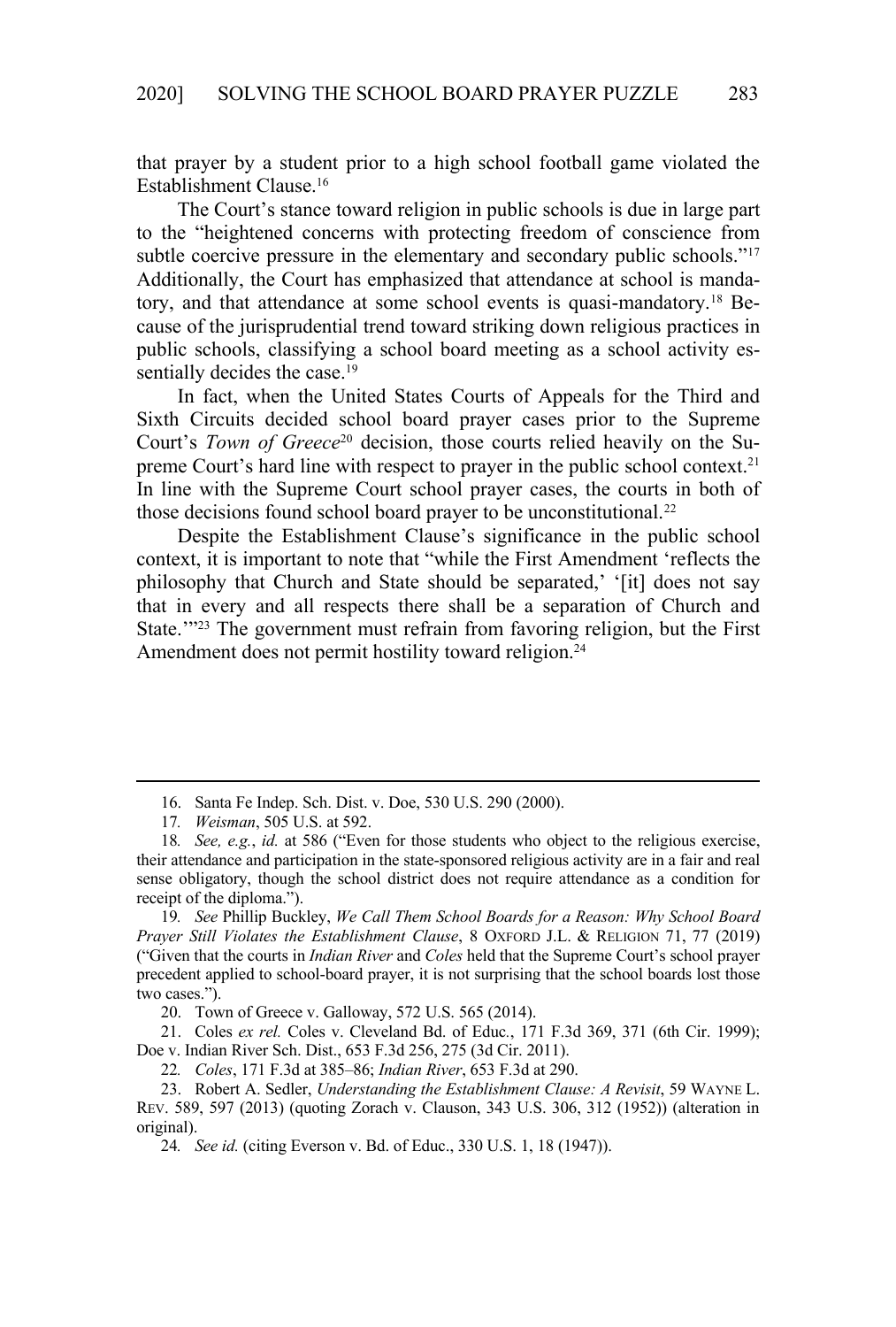that prayer by a student prior to a high school football game violated the Establishment Clause.16

The Court's stance toward religion in public schools is due in large part to the "heightened concerns with protecting freedom of conscience from subtle coercive pressure in the elementary and secondary public schools."<sup>17</sup> Additionally, the Court has emphasized that attendance at school is mandatory, and that attendance at some school events is quasi-mandatory.18 Because of the jurisprudential trend toward striking down religious practices in public schools, classifying a school board meeting as a school activity essentially decides the case.<sup>19</sup>

In fact, when the United States Courts of Appeals for the Third and Sixth Circuits decided school board prayer cases prior to the Supreme Court's *Town of Greece*<sup>20</sup> decision, those courts relied heavily on the Supreme Court's hard line with respect to prayer in the public school context.<sup>21</sup> In line with the Supreme Court school prayer cases, the courts in both of those decisions found school board prayer to be unconstitutional.<sup>22</sup>

Despite the Establishment Clause's significance in the public school context, it is important to note that "while the First Amendment 'reflects the philosophy that Church and State should be separated,' '[it] does not say that in every and all respects there shall be a separation of Church and State."<sup>23</sup> The government must refrain from favoring religion, but the First Amendment does not permit hostility toward religion.<sup>24</sup>

22*. Coles*, 171 F.3d at 385–86; *Indian River*, 653 F.3d at 290.

<sup>16.</sup> Santa Fe Indep. Sch. Dist. v. Doe, 530 U.S. 290 (2000).

<sup>17</sup>*. Weisman*, 505 U.S. at 592.

<sup>18</sup>*. See, e.g.*, *id.* at 586 ("Even for those students who object to the religious exercise, their attendance and participation in the state-sponsored religious activity are in a fair and real sense obligatory, though the school district does not require attendance as a condition for receipt of the diploma.").

<sup>19</sup>*. See* Phillip Buckley, *We Call Them School Boards for a Reason: Why School Board Prayer Still Violates the Establishment Clause*, 8 OXFORD J.L. & RELIGION 71, 77 (2019) ("Given that the courts in *Indian River* and *Coles* held that the Supreme Court's school prayer precedent applied to school-board prayer, it is not surprising that the school boards lost those two cases.").

<sup>20.</sup> Town of Greece v. Galloway, 572 U.S. 565 (2014).

<sup>21.</sup> Coles *ex rel.* Coles v. Cleveland Bd. of Educ*.*, 171 F.3d 369, 371 (6th Cir. 1999); Doe v. Indian River Sch. Dist., 653 F.3d 256, 275 (3d Cir. 2011).

<sup>23.</sup> Robert A. Sedler, *Understanding the Establishment Clause: A Revisit*, 59 WAYNE L. REV. 589, 597 (2013) (quoting Zorach v. Clauson, 343 U.S. 306, 312 (1952)) (alteration in original).

<sup>24</sup>*. See id.* (citing Everson v. Bd. of Educ., 330 U.S. 1, 18 (1947)).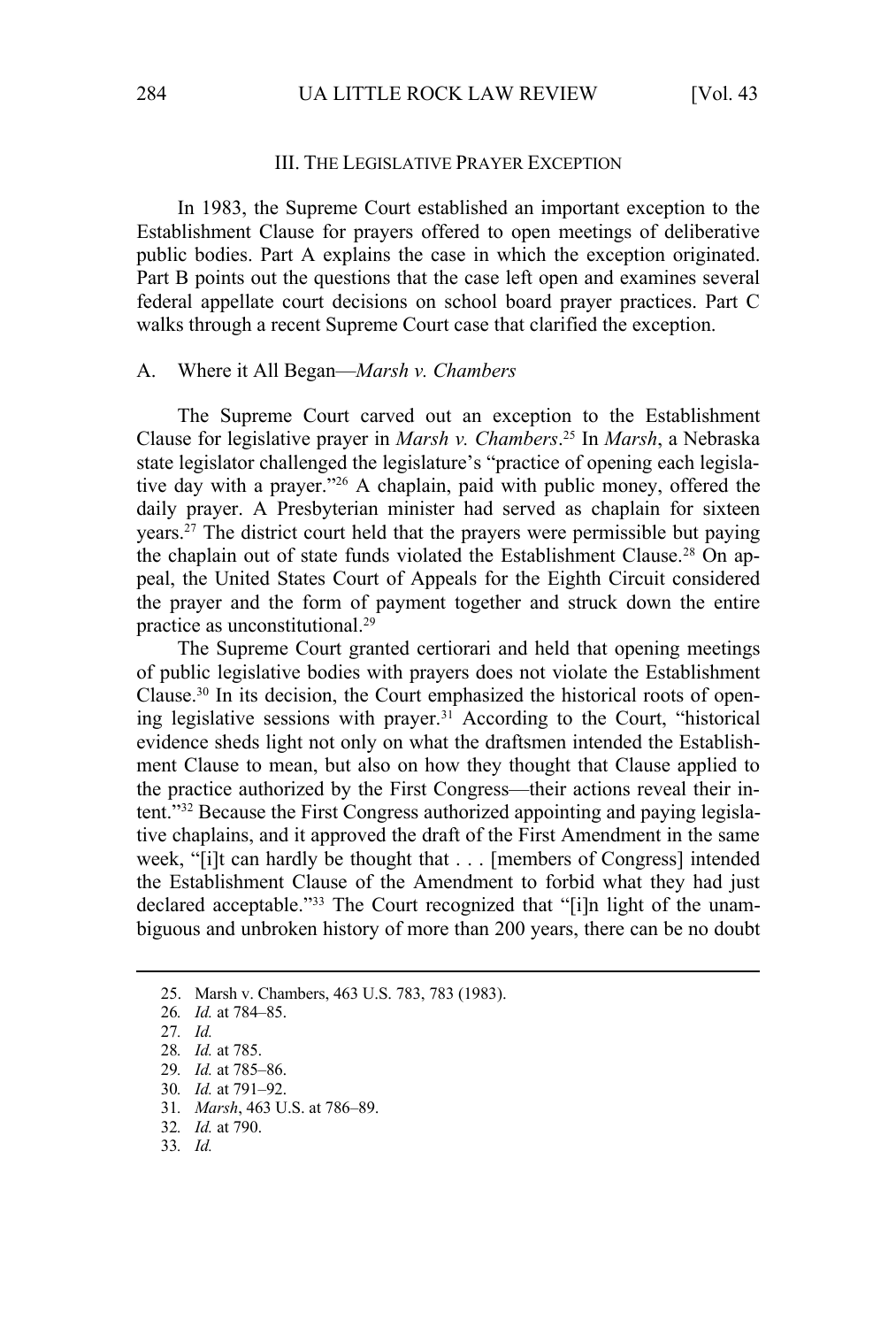#### III. THE LEGISLATIVE PRAYER EXCEPTION

In 1983, the Supreme Court established an important exception to the Establishment Clause for prayers offered to open meetings of deliberative public bodies. Part A explains the case in which the exception originated. Part B points out the questions that the case left open and examines several federal appellate court decisions on school board prayer practices. Part C walks through a recent Supreme Court case that clarified the exception.

#### A. Where it All Began—*Marsh v. Chambers*

The Supreme Court carved out an exception to the Establishment Clause for legislative prayer in *Marsh v. Chambers*. 25 In *Marsh*, a Nebraska state legislator challenged the legislature's "practice of opening each legislative day with a prayer."26 A chaplain, paid with public money, offered the daily prayer. A Presbyterian minister had served as chaplain for sixteen years.27 The district court held that the prayers were permissible but paying the chaplain out of state funds violated the Establishment Clause.<sup>28</sup> On appeal, the United States Court of Appeals for the Eighth Circuit considered the prayer and the form of payment together and struck down the entire practice as unconstitutional.29

The Supreme Court granted certiorari and held that opening meetings of public legislative bodies with prayers does not violate the Establishment Clause.30 In its decision, the Court emphasized the historical roots of opening legislative sessions with prayer.31 According to the Court, "historical evidence sheds light not only on what the draftsmen intended the Establishment Clause to mean, but also on how they thought that Clause applied to the practice authorized by the First Congress—their actions reveal their intent."32 Because the First Congress authorized appointing and paying legislative chaplains, and it approved the draft of the First Amendment in the same week, "[i]t can hardly be thought that . . . [members of Congress] intended the Establishment Clause of the Amendment to forbid what they had just declared acceptable."33 The Court recognized that "[i]n light of the unambiguous and unbroken history of more than 200 years, there can be no doubt

- 29*. Id.* at 785–86.
- 30*. Id.* at 791–92.
- 31*. Marsh*, 463 U.S. at 786–89.
- 32*. Id.* at 790.
- 33*. Id.*

<sup>25.</sup> Marsh v. Chambers, 463 U.S. 783, 783 (1983).

<sup>26</sup>*. Id.* at 784–85.

<sup>27</sup>*. Id.*

<sup>28</sup>*. Id.* at 785.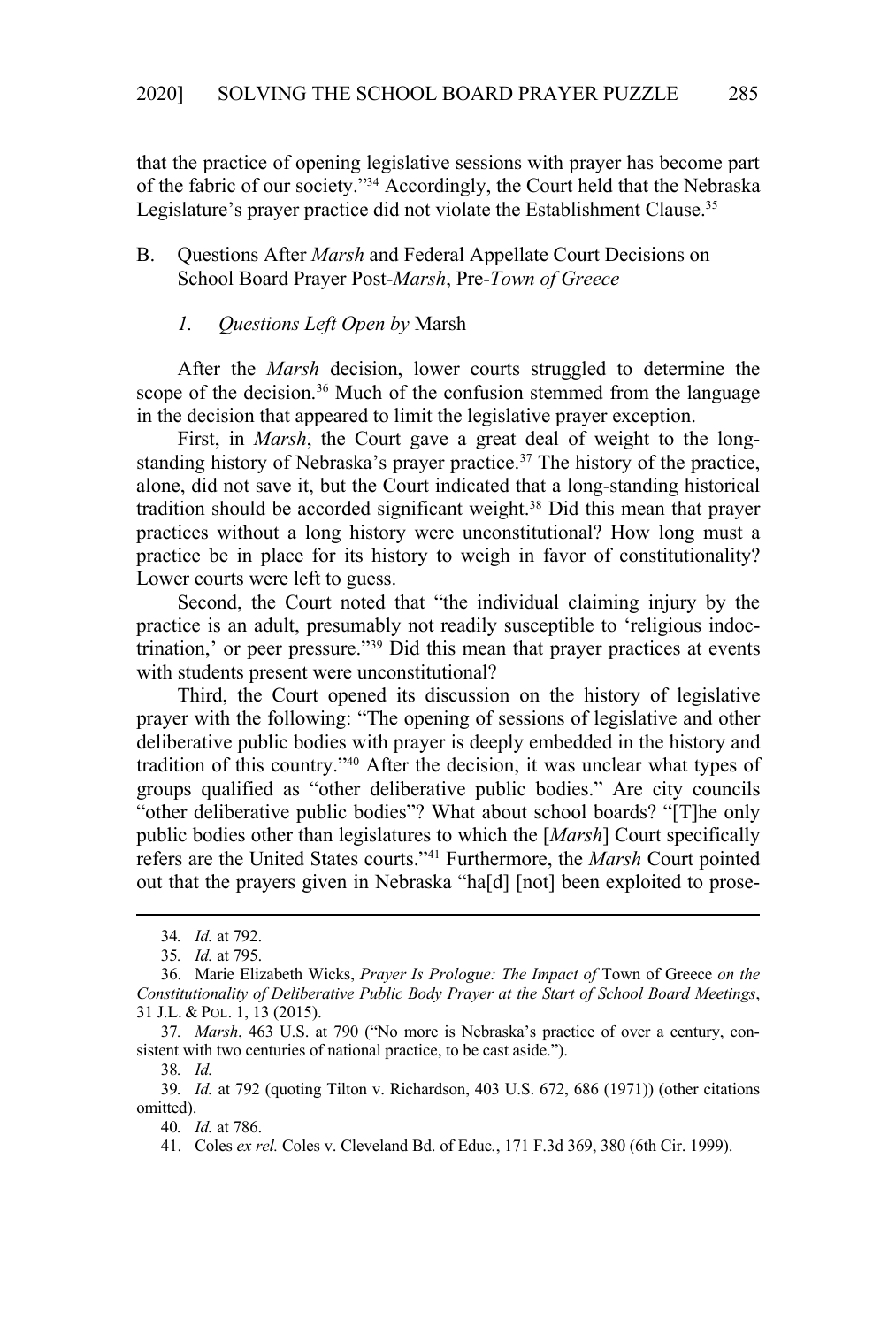that the practice of opening legislative sessions with prayer has become part of the fabric of our society."34 Accordingly, the Court held that the Nebraska Legislature's prayer practice did not violate the Establishment Clause.<sup>35</sup>

## B. Questions After *Marsh* and Federal Appellate Court Decisions on School Board Prayer Post-*Marsh*, Pre-*Town of Greece*

### *1. Questions Left Open by* Marsh

After the *Marsh* decision, lower courts struggled to determine the scope of the decision.<sup>36</sup> Much of the confusion stemmed from the language in the decision that appeared to limit the legislative prayer exception.

First, in *Marsh*, the Court gave a great deal of weight to the longstanding history of Nebraska's prayer practice.<sup>37</sup> The history of the practice, alone, did not save it, but the Court indicated that a long-standing historical tradition should be accorded significant weight.38 Did this mean that prayer practices without a long history were unconstitutional? How long must a practice be in place for its history to weigh in favor of constitutionality? Lower courts were left to guess.

Second, the Court noted that "the individual claiming injury by the practice is an adult, presumably not readily susceptible to 'religious indoctrination,' or peer pressure."39 Did this mean that prayer practices at events with students present were unconstitutional?

Third, the Court opened its discussion on the history of legislative prayer with the following: "The opening of sessions of legislative and other deliberative public bodies with prayer is deeply embedded in the history and tradition of this country."40 After the decision, it was unclear what types of groups qualified as "other deliberative public bodies." Are city councils "other deliberative public bodies"? What about school boards? "[T]he only public bodies other than legislatures to which the [*Marsh*] Court specifically refers are the United States courts."41 Furthermore, the *Marsh* Court pointed out that the prayers given in Nebraska "ha[d] [not] been exploited to prose-

38*. Id.*

39*. Id.* at 792 (quoting Tilton v. Richardson, 403 U.S. 672, 686 (1971)) (other citations omitted).

40*. Id.* at 786.

41. Coles *ex rel.* Coles v. Cleveland Bd. of Educ*.*, 171 F.3d 369, 380 (6th Cir. 1999).

<sup>34</sup>*. Id.* at 792.

<sup>35</sup>*. Id.* at 795.

<sup>36.</sup> Marie Elizabeth Wicks, *Prayer Is Prologue: The Impact of* Town of Greece *on the Constitutionality of Deliberative Public Body Prayer at the Start of School Board Meetings*, 31 J.L. & POL. 1, 13 (2015).

<sup>37</sup>*. Marsh*, 463 U.S. at 790 ("No more is Nebraska's practice of over a century, consistent with two centuries of national practice, to be cast aside.").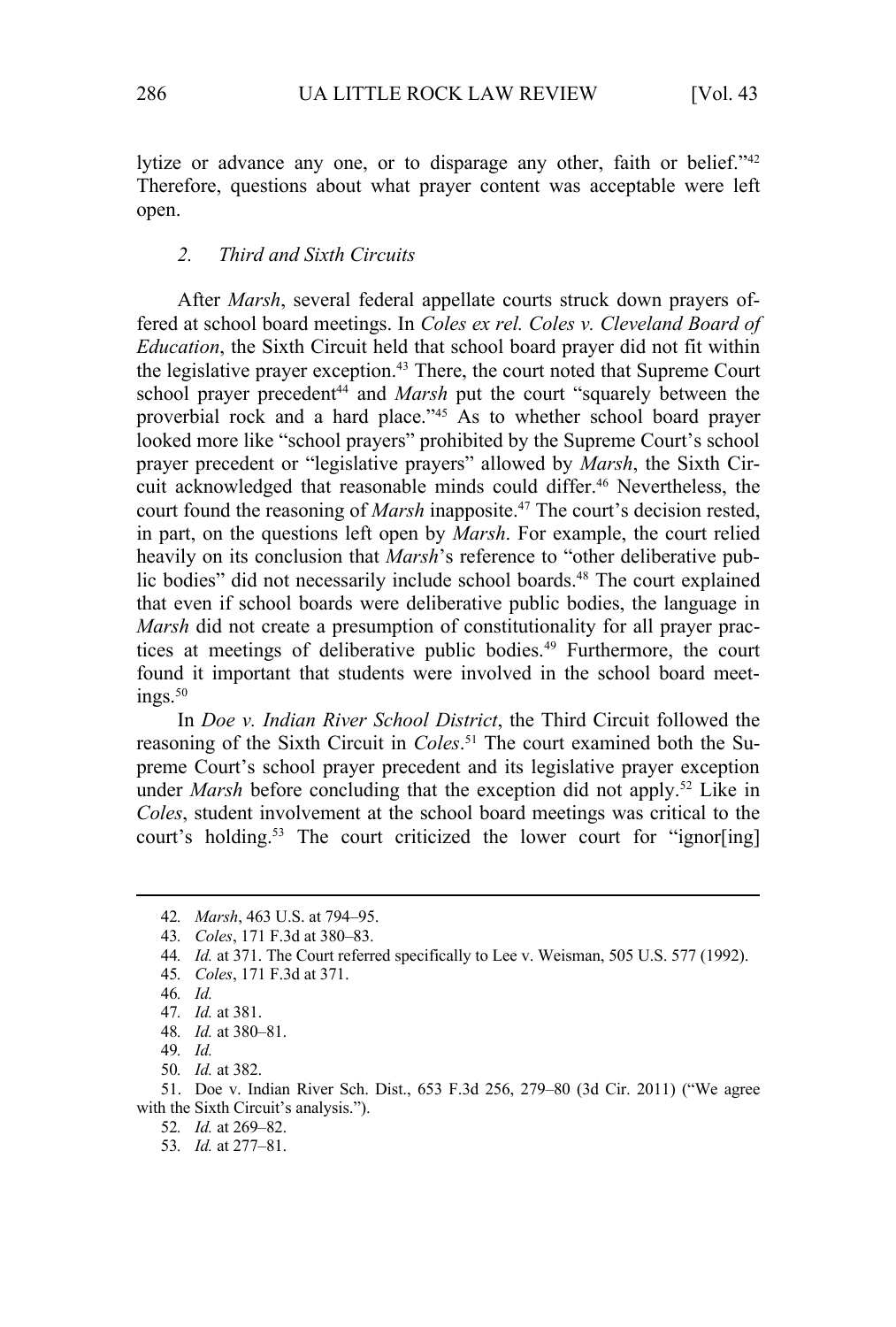lytize or advance any one, or to disparage any other, faith or belief."<sup>42</sup> Therefore, questions about what prayer content was acceptable were left open.

#### *2. Third and Sixth Circuits*

After *Marsh*, several federal appellate courts struck down prayers offered at school board meetings. In *Coles ex rel. Coles v. Cleveland Board of Education*, the Sixth Circuit held that school board prayer did not fit within the legislative prayer exception.<sup>43</sup> There, the court noted that Supreme Court school prayer precedent<sup>44</sup> and *Marsh* put the court "squarely between the proverbial rock and a hard place."<sup>45</sup> As to whether school board prayer looked more like "school prayers" prohibited by the Supreme Court's school prayer precedent or "legislative prayers" allowed by *Marsh*, the Sixth Circuit acknowledged that reasonable minds could differ.<sup>46</sup> Nevertheless, the court found the reasoning of *Marsh* inapposite.<sup>47</sup> The court's decision rested, in part, on the questions left open by *Marsh*. For example, the court relied heavily on its conclusion that *Marsh*'s reference to "other deliberative public bodies" did not necessarily include school boards.<sup>48</sup> The court explained that even if school boards were deliberative public bodies, the language in *Marsh* did not create a presumption of constitutionality for all prayer practices at meetings of deliberative public bodies.49 Furthermore, the court found it important that students were involved in the school board meet $ins.50$ 

In *Doe v. Indian River School District*, the Third Circuit followed the reasoning of the Sixth Circuit in *Coles*. 51 The court examined both the Supreme Court's school prayer precedent and its legislative prayer exception under *Marsh* before concluding that the exception did not apply.<sup>52</sup> Like in *Coles*, student involvement at the school board meetings was critical to the court's holding.<sup>53</sup> The court criticized the lower court for "ignor[ing]

51. Doe v. Indian River Sch. Dist., 653 F.3d 256, 279–80 (3d Cir. 2011) ("We agree with the Sixth Circuit's analysis.").

- 52*. Id.* at 269–82.
- 53*. Id.* at 277–81.

<sup>42</sup>*. Marsh*, 463 U.S. at 794–95.

<sup>43</sup>*. Coles*, 171 F.3d at 380–83.

<sup>44</sup>*. Id.* at 371. The Court referred specifically to Lee v. Weisman, 505 U.S. 577 (1992).

<sup>45</sup>*. Coles*, 171 F.3d at 371.

<sup>46</sup>*. Id.*

<sup>47</sup>*. Id.* at 381.

<sup>48</sup>*. Id.* at 380–81.

<sup>49</sup>*. Id.*

<sup>50</sup>*. Id.* at 382.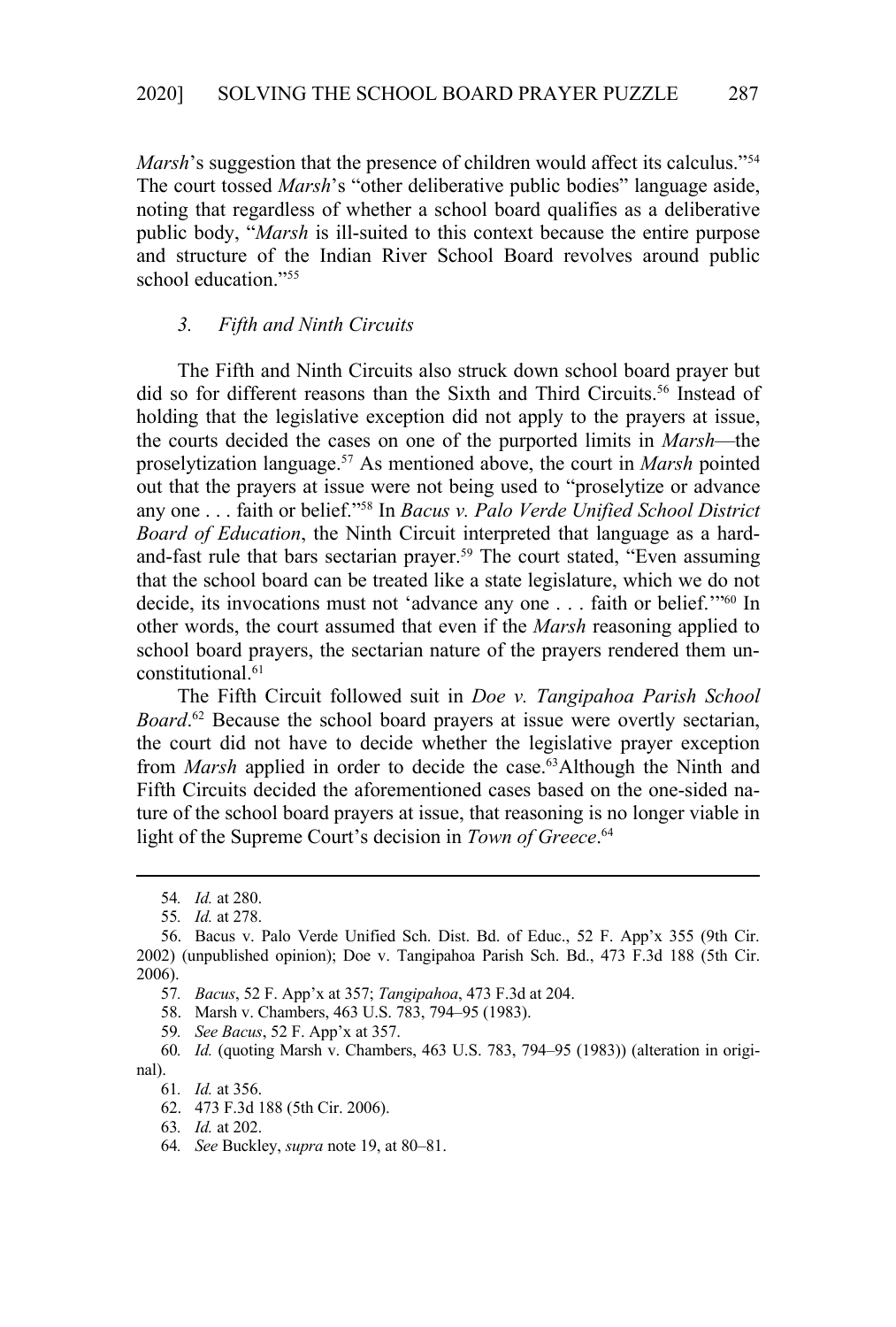*Marsh*'s suggestion that the presence of children would affect its calculus."<sup>54</sup> The court tossed *Marsh*'s "other deliberative public bodies" language aside, noting that regardless of whether a school board qualifies as a deliberative public body, "*Marsh* is ill-suited to this context because the entire purpose and structure of the Indian River School Board revolves around public school education."55

#### *3. Fifth and Ninth Circuits*

The Fifth and Ninth Circuits also struck down school board prayer but did so for different reasons than the Sixth and Third Circuits.<sup>56</sup> Instead of holding that the legislative exception did not apply to the prayers at issue, the courts decided the cases on one of the purported limits in *Marsh*—the proselytization language.57 As mentioned above, the court in *Marsh* pointed out that the prayers at issue were not being used to "proselytize or advance any one . . . faith or belief."58 In *Bacus v. Palo Verde Unified School District Board of Education*, the Ninth Circuit interpreted that language as a hardand-fast rule that bars sectarian prayer.<sup>59</sup> The court stated, "Even assuming that the school board can be treated like a state legislature, which we do not decide, its invocations must not 'advance any one . . . faith or belief.'"60 In other words, the court assumed that even if the *Marsh* reasoning applied to school board prayers, the sectarian nature of the prayers rendered them unconstitutional.<sup>61</sup>

The Fifth Circuit followed suit in *Doe v. Tangipahoa Parish School Board*.<sup>62</sup> Because the school board prayers at issue were overtly sectarian, the court did not have to decide whether the legislative prayer exception from *Marsh* applied in order to decide the case.63Although the Ninth and Fifth Circuits decided the aforementioned cases based on the one-sided nature of the school board prayers at issue, that reasoning is no longer viable in light of the Supreme Court's decision in *Town of Greece*. 64

- 58. Marsh v. Chambers, 463 U.S. 783, 794–95 (1983).
- 59*. See Bacus*, 52 F. App'x at 357.

60*. Id.* (quoting Marsh v. Chambers, 463 U.S. 783, 794–95 (1983)) (alteration in original).

<sup>54</sup>*. Id.* at 280.

<sup>55</sup>*. Id.* at 278.

<sup>56.</sup> Bacus v. Palo Verde Unified Sch. Dist. Bd. of Educ., 52 F. App'x 355 (9th Cir. 2002) (unpublished opinion); Doe v. Tangipahoa Parish Sch. Bd., 473 F.3d 188 (5th Cir. 2006).

<sup>57</sup>*. Bacus*, 52 F. App'x at 357; *Tangipahoa*, 473 F.3d at 204.

<sup>61</sup>*. Id.* at 356.

<sup>62. 473</sup> F.3d 188 (5th Cir. 2006).

<sup>63</sup>*. Id.* at 202.

<sup>64</sup>*. See* Buckley, *supra* note 19, at 80–81.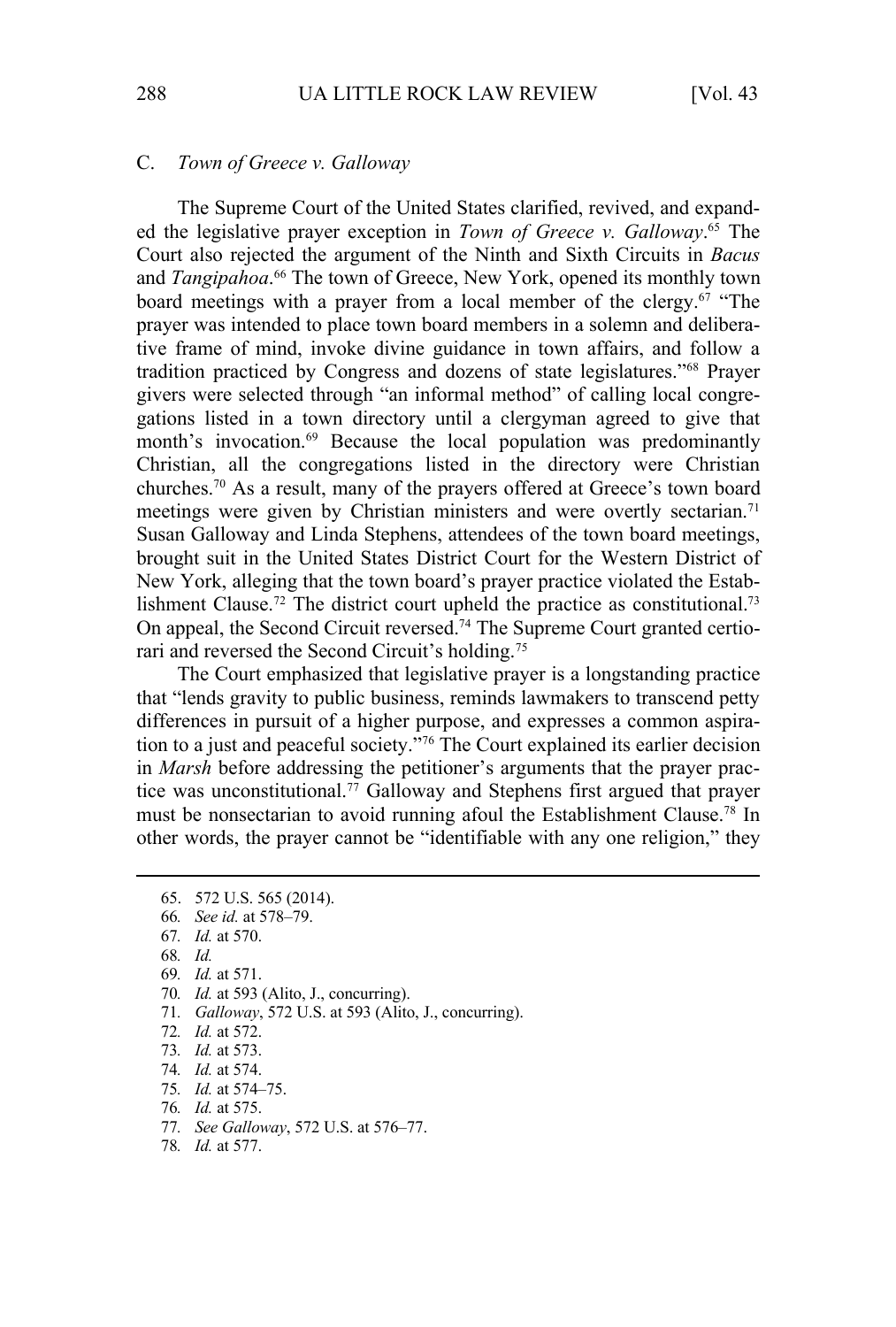#### C. *Town of Greece v. Galloway*

The Supreme Court of the United States clarified, revived, and expanded the legislative prayer exception in *Town of Greece v. Galloway*. 65 The Court also rejected the argument of the Ninth and Sixth Circuits in *Bacus* and *Tangipahoa*. 66 The town of Greece, New York, opened its monthly town board meetings with a prayer from a local member of the clergy.<sup>67</sup> "The prayer was intended to place town board members in a solemn and deliberative frame of mind, invoke divine guidance in town affairs, and follow a tradition practiced by Congress and dozens of state legislatures."68 Prayer givers were selected through "an informal method" of calling local congregations listed in a town directory until a clergyman agreed to give that month's invocation.<sup>69</sup> Because the local population was predominantly Christian, all the congregations listed in the directory were Christian churches.70 As a result, many of the prayers offered at Greece's town board meetings were given by Christian ministers and were overtly sectarian.<sup>71</sup> Susan Galloway and Linda Stephens, attendees of the town board meetings, brought suit in the United States District Court for the Western District of New York, alleging that the town board's prayer practice violated the Establishment Clause.<sup>72</sup> The district court upheld the practice as constitutional.<sup>73</sup> On appeal, the Second Circuit reversed.74 The Supreme Court granted certiorari and reversed the Second Circuit's holding.75

The Court emphasized that legislative prayer is a longstanding practice that "lends gravity to public business, reminds lawmakers to transcend petty differences in pursuit of a higher purpose, and expresses a common aspiration to a just and peaceful society."76 The Court explained its earlier decision in *Marsh* before addressing the petitioner's arguments that the prayer practice was unconstitutional.<sup>77</sup> Galloway and Stephens first argued that prayer must be nonsectarian to avoid running afoul the Establishment Clause.78 In other words, the prayer cannot be "identifiable with any one religion," they

- 71*. Galloway*, 572 U.S. at 593 (Alito, J., concurring).
- 72*. Id.* at 572.
- 73*. Id.* at 573.
- 74*. Id.* at 574.
- 75*. Id.* at 574–75.
- 76*. Id.* at 575.
- 77*. See Galloway*, 572 U.S. at 576–77.
- 78*. Id.* at 577.

<sup>65. 572</sup> U.S. 565 (2014).

<sup>66</sup>*. See id.* at 578–79.

<sup>67</sup>*. Id.* at 570.

<sup>68</sup>*. Id.*

<sup>69</sup>*. Id.* at 571.

<sup>70</sup>*. Id.* at 593 (Alito, J., concurring).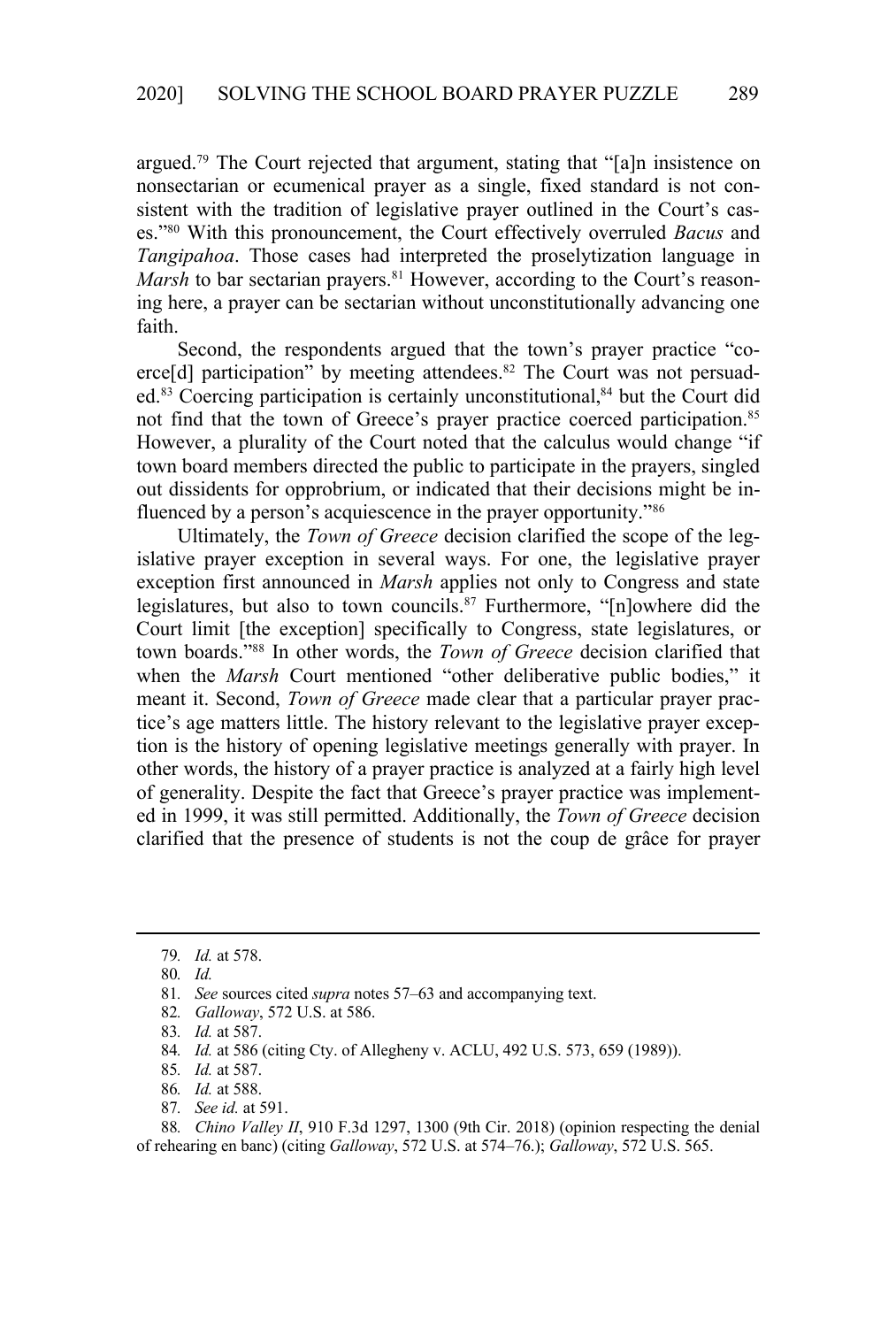argued.<sup>79</sup> The Court rejected that argument, stating that "[a]n insistence on nonsectarian or ecumenical prayer as a single, fixed standard is not consistent with the tradition of legislative prayer outlined in the Court's cases."80 With this pronouncement, the Court effectively overruled *Bacus* and *Tangipahoa*. Those cases had interpreted the proselytization language in *Marsh* to bar sectarian prayers.<sup>81</sup> However, according to the Court's reasoning here, a prayer can be sectarian without unconstitutionally advancing one faith.

Second, the respondents argued that the town's prayer practice "coerce[d] participation" by meeting attendees.<sup>82</sup> The Court was not persuaded.<sup>83</sup> Coercing participation is certainly unconstitutional,<sup>84</sup> but the Court did not find that the town of Greece's prayer practice coerced participation.<sup>85</sup> However, a plurality of the Court noted that the calculus would change "if town board members directed the public to participate in the prayers, singled out dissidents for opprobrium, or indicated that their decisions might be influenced by a person's acquiescence in the prayer opportunity."<sup>86</sup>

Ultimately, the *Town of Greece* decision clarified the scope of the legislative prayer exception in several ways. For one, the legislative prayer exception first announced in *Marsh* applies not only to Congress and state legislatures, but also to town councils.<sup>87</sup> Furthermore, "[n]owhere did the Court limit [the exception] specifically to Congress, state legislatures, or town boards."88 In other words, the *Town of Greece* decision clarified that when the *Marsh* Court mentioned "other deliberative public bodies," it meant it. Second, *Town of Greece* made clear that a particular prayer practice's age matters little. The history relevant to the legislative prayer exception is the history of opening legislative meetings generally with prayer. In other words, the history of a prayer practice is analyzed at a fairly high level of generality. Despite the fact that Greece's prayer practice was implemented in 1999, it was still permitted. Additionally, the *Town of Greece* decision clarified that the presence of students is not the coup de grâce for prayer

- 86*. Id.* at 588.
- 87*. See id.* at 591.

88*. Chino Valley II*, 910 F.3d 1297, 1300 (9th Cir. 2018) (opinion respecting the denial of rehearing en banc) (citing *Galloway*, 572 U.S. at 574–76.); *Galloway*, 572 U.S. 565.

<sup>79</sup>*. Id.* at 578.

<sup>80</sup>*. Id.*

<sup>81</sup>*. See* sources cited *supra* notes 57–63 and accompanying text.

<sup>82</sup>*. Galloway*, 572 U.S. at 586.

<sup>83</sup>*. Id.* at 587.

<sup>84</sup>*. Id.* at 586 (citing Cty. of Allegheny v. ACLU, 492 U.S. 573, 659 (1989)).

<sup>85</sup>*. Id.* at 587.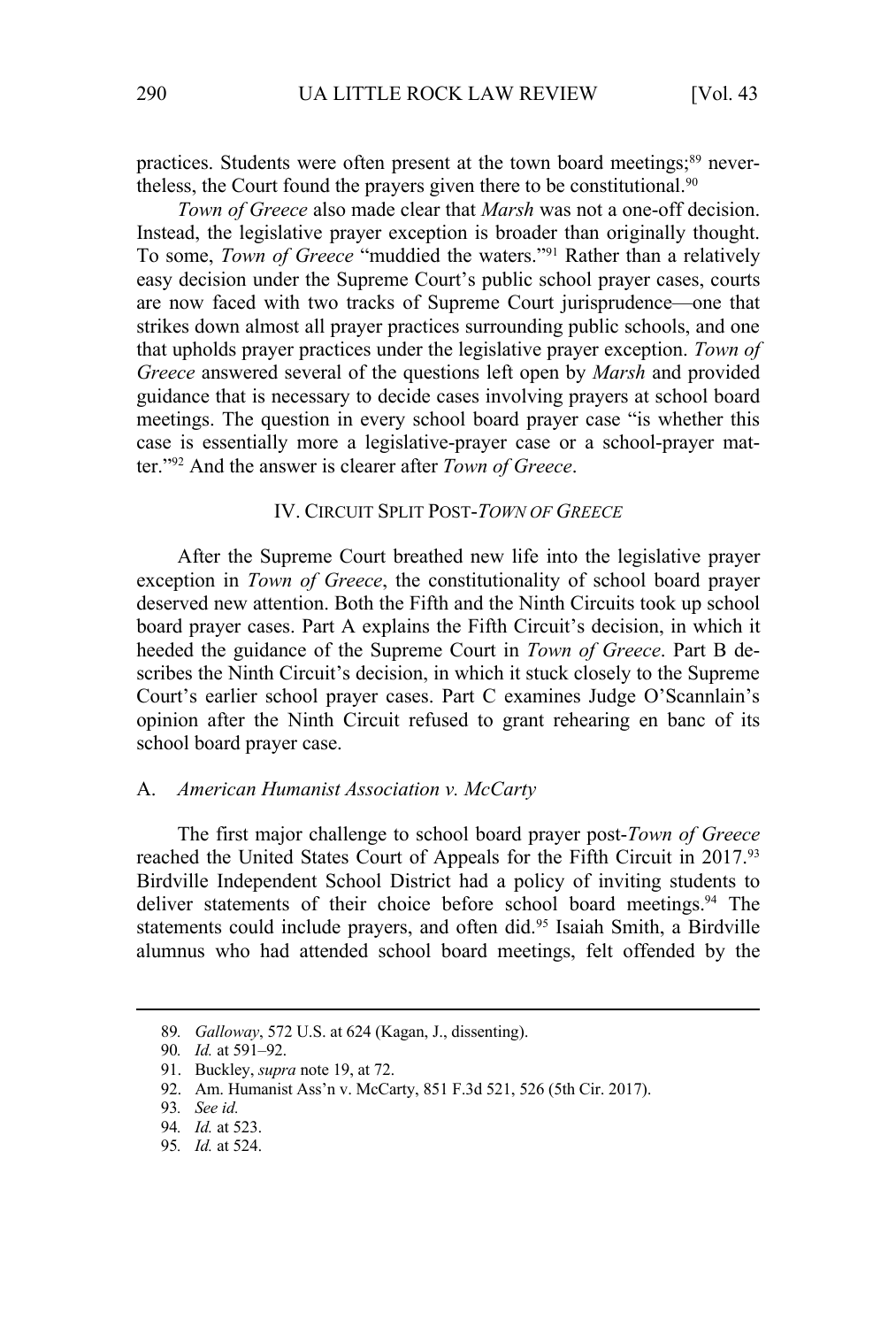practices. Students were often present at the town board meetings;<sup>89</sup> nevertheless, the Court found the prayers given there to be constitutional.<sup>90</sup>

*Town of Greece* also made clear that *Marsh* was not a one-off decision. Instead, the legislative prayer exception is broader than originally thought. To some, *Town of Greece* "muddied the waters."91 Rather than a relatively easy decision under the Supreme Court's public school prayer cases, courts are now faced with two tracks of Supreme Court jurisprudence—one that strikes down almost all prayer practices surrounding public schools, and one that upholds prayer practices under the legislative prayer exception. *Town of Greece* answered several of the questions left open by *Marsh* and provided guidance that is necessary to decide cases involving prayers at school board meetings. The question in every school board prayer case "is whether this case is essentially more a legislative-prayer case or a school-prayer matter."92 And the answer is clearer after *Town of Greece*.

#### IV. CIRCUIT SPLIT POST-*TOWN OF GREECE*

After the Supreme Court breathed new life into the legislative prayer exception in *Town of Greece*, the constitutionality of school board prayer deserved new attention. Both the Fifth and the Ninth Circuits took up school board prayer cases. Part A explains the Fifth Circuit's decision, in which it heeded the guidance of the Supreme Court in *Town of Greece*. Part B describes the Ninth Circuit's decision, in which it stuck closely to the Supreme Court's earlier school prayer cases. Part C examines Judge O'Scannlain's opinion after the Ninth Circuit refused to grant rehearing en banc of its school board prayer case.

#### A. *American Humanist Association v. McCarty*

The first major challenge to school board prayer post-*Town of Greece*  reached the United States Court of Appeals for the Fifth Circuit in 2017.93 Birdville Independent School District had a policy of inviting students to deliver statements of their choice before school board meetings.<sup>94</sup> The statements could include prayers, and often did.<sup>95</sup> Isaiah Smith, a Birdville alumnus who had attended school board meetings, felt offended by the

<sup>89</sup>*. Galloway*, 572 U.S. at 624 (Kagan, J., dissenting).

<sup>90</sup>*. Id.* at 591–92.

<sup>91.</sup> Buckley, *supra* note 19, at 72.

<sup>92.</sup> Am. Humanist Ass'n v. McCarty, 851 F.3d 521, 526 (5th Cir. 2017).

<sup>93</sup>*. See id.*

<sup>94</sup>*. Id.* at 523.

<sup>95</sup>*. Id.* at 524.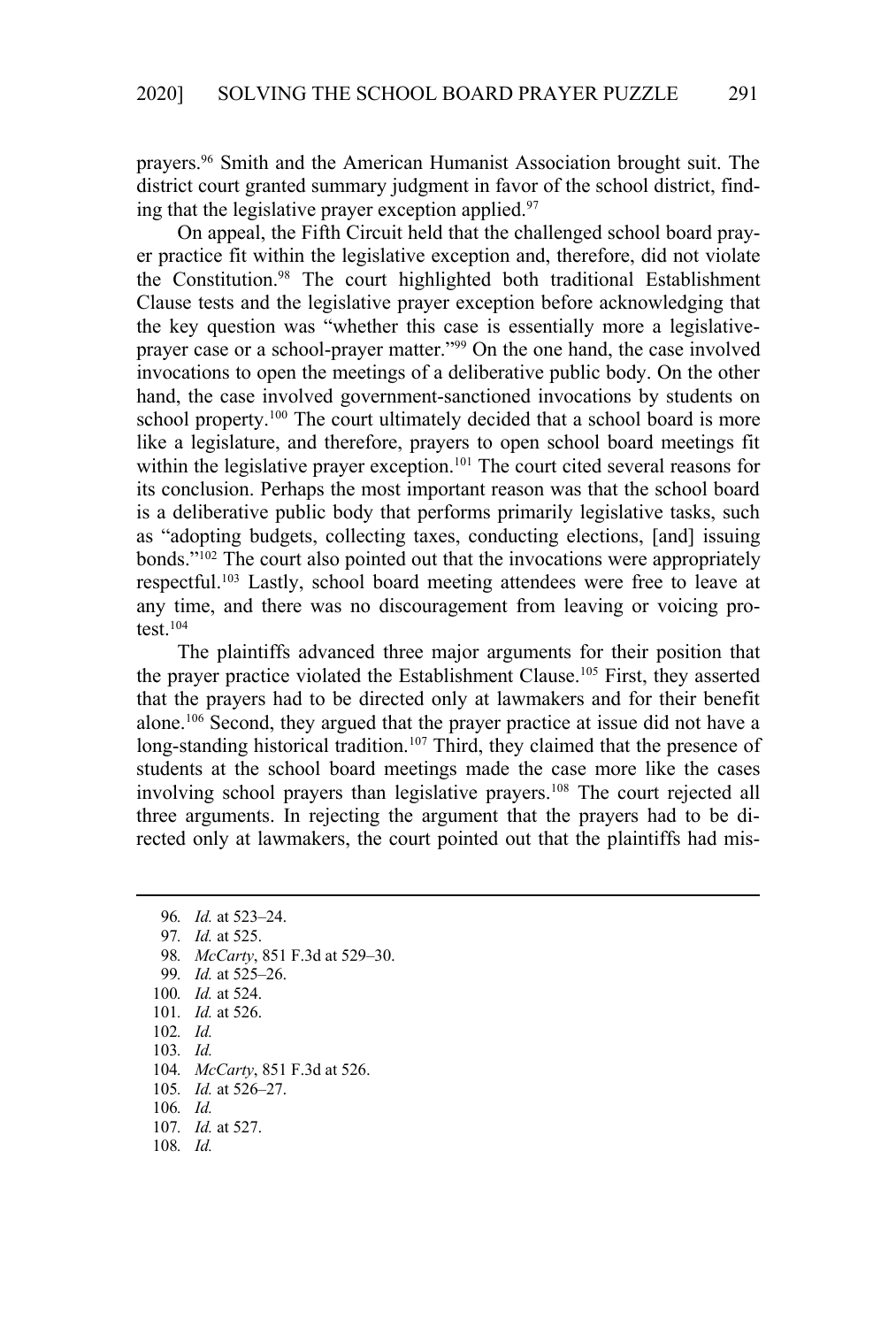prayers.96 Smith and the American Humanist Association brought suit. The district court granted summary judgment in favor of the school district, finding that the legislative prayer exception applied.<sup>97</sup>

On appeal, the Fifth Circuit held that the challenged school board prayer practice fit within the legislative exception and, therefore, did not violate the Constitution.98 The court highlighted both traditional Establishment Clause tests and the legislative prayer exception before acknowledging that the key question was "whether this case is essentially more a legislativeprayer case or a school-prayer matter."<sup>99</sup> On the one hand, the case involved invocations to open the meetings of a deliberative public body. On the other hand, the case involved government-sanctioned invocations by students on school property.<sup>100</sup> The court ultimately decided that a school board is more like a legislature, and therefore, prayers to open school board meetings fit within the legislative prayer exception.<sup>101</sup> The court cited several reasons for its conclusion. Perhaps the most important reason was that the school board is a deliberative public body that performs primarily legislative tasks, such as "adopting budgets, collecting taxes, conducting elections, [and] issuing bonds."102 The court also pointed out that the invocations were appropriately respectful.103 Lastly, school board meeting attendees were free to leave at any time, and there was no discouragement from leaving or voicing protest. $104$ 

The plaintiffs advanced three major arguments for their position that the prayer practice violated the Establishment Clause.<sup>105</sup> First, they asserted that the prayers had to be directed only at lawmakers and for their benefit alone.106 Second, they argued that the prayer practice at issue did not have a long-standing historical tradition.<sup>107</sup> Third, they claimed that the presence of students at the school board meetings made the case more like the cases involving school prayers than legislative prayers.<sup>108</sup> The court rejected all three arguments. In rejecting the argument that the prayers had to be directed only at lawmakers, the court pointed out that the plaintiffs had mis-

*. Id.* at 523–24. *. Id.* at 525. *. McCarty*, 851 F.3d at 529–30. *. Id.* at 525–26. *. Id.* at 524. *. Id.* at 526. 102*. Id.* 103*. Id. . McCarty*, 851 F.3d at 526. *. Id.* at 526–27. 106*. Id. . Id.* at 527. 108*. Id.*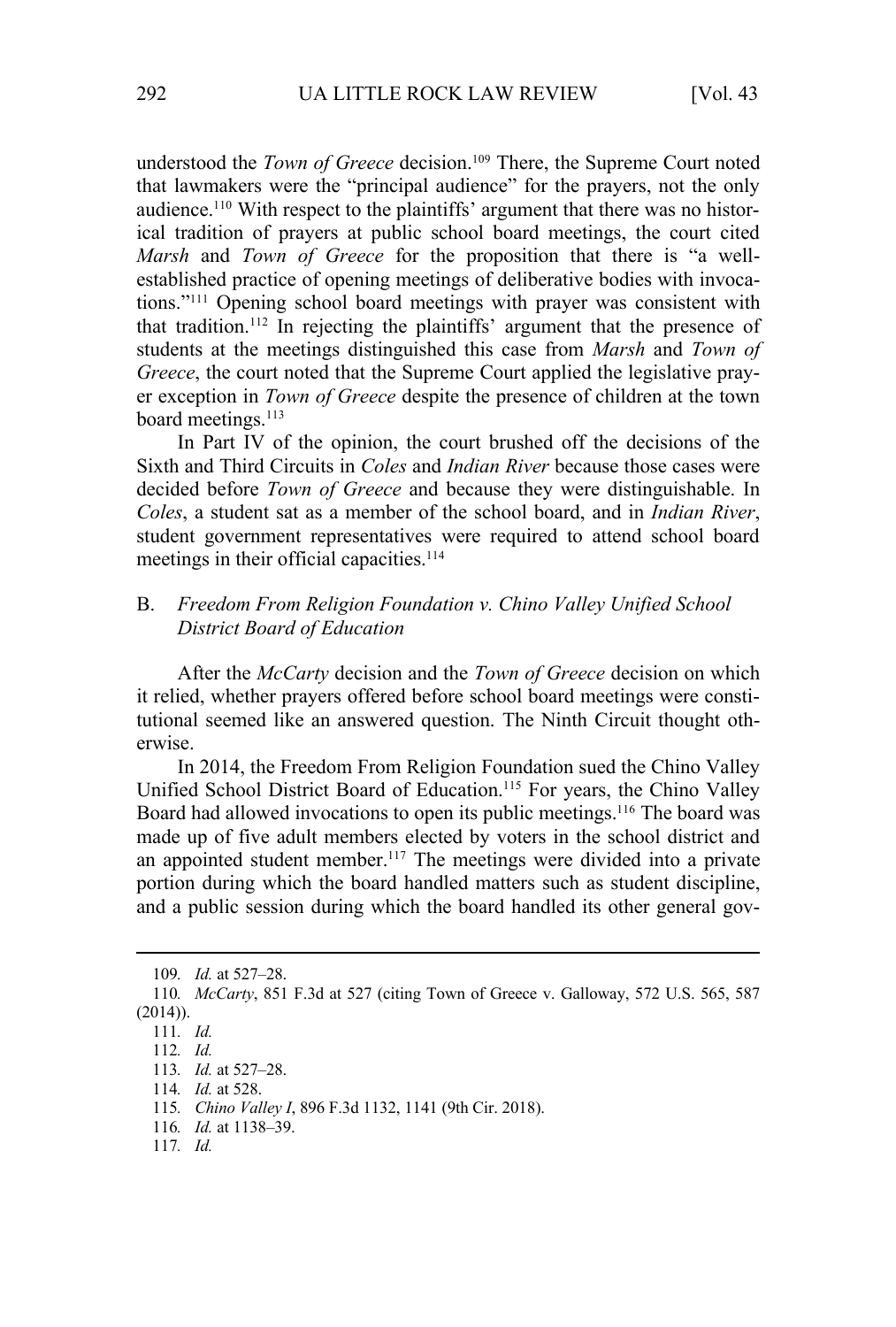understood the *Town of Greece* decision.<sup>109</sup> There, the Supreme Court noted that lawmakers were the "principal audience" for the prayers, not the only audience.<sup>110</sup> With respect to the plaintiffs' argument that there was no historical tradition of prayers at public school board meetings, the court cited *Marsh* and *Town of Greece* for the proposition that there is "a wellestablished practice of opening meetings of deliberative bodies with invocations."111 Opening school board meetings with prayer was consistent with that tradition.112 In rejecting the plaintiffs' argument that the presence of students at the meetings distinguished this case from *Marsh* and *Town of Greece*, the court noted that the Supreme Court applied the legislative prayer exception in *Town of Greece* despite the presence of children at the town board meetings.<sup>113</sup>

In Part IV of the opinion, the court brushed off the decisions of the Sixth and Third Circuits in *Coles* and *Indian River* because those cases were decided before *Town of Greece* and because they were distinguishable. In *Coles*, a student sat as a member of the school board, and in *Indian River*, student government representatives were required to attend school board meetings in their official capacities.<sup>114</sup>

## B. *Freedom From Religion Foundation v. Chino Valley Unified School District Board of Education*

After the *McCarty* decision and the *Town of Greece* decision on which it relied, whether prayers offered before school board meetings were constitutional seemed like an answered question. The Ninth Circuit thought otherwise.

In 2014, the Freedom From Religion Foundation sued the Chino Valley Unified School District Board of Education.<sup>115</sup> For years, the Chino Valley Board had allowed invocations to open its public meetings.<sup>116</sup> The board was made up of five adult members elected by voters in the school district and an appointed student member.<sup>117</sup> The meetings were divided into a private portion during which the board handled matters such as student discipline, and a public session during which the board handled its other general gov-

<sup>109</sup>*. Id.* at 527–28.

<sup>110</sup>*. McCarty*, 851 F.3d at 527 (citing Town of Greece v. Galloway, 572 U.S. 565, 587  $(2014)$ ).

<sup>111</sup>*. Id.*

<sup>112</sup>*. Id.*

<sup>113</sup>*. Id.* at 527–28.

<sup>114</sup>*. Id.* at 528.

<sup>115</sup>*. Chino Valley I*, 896 F.3d 1132, 1141 (9th Cir. 2018).

<sup>116</sup>*. Id.* at 1138–39.

<sup>117</sup>*. Id.*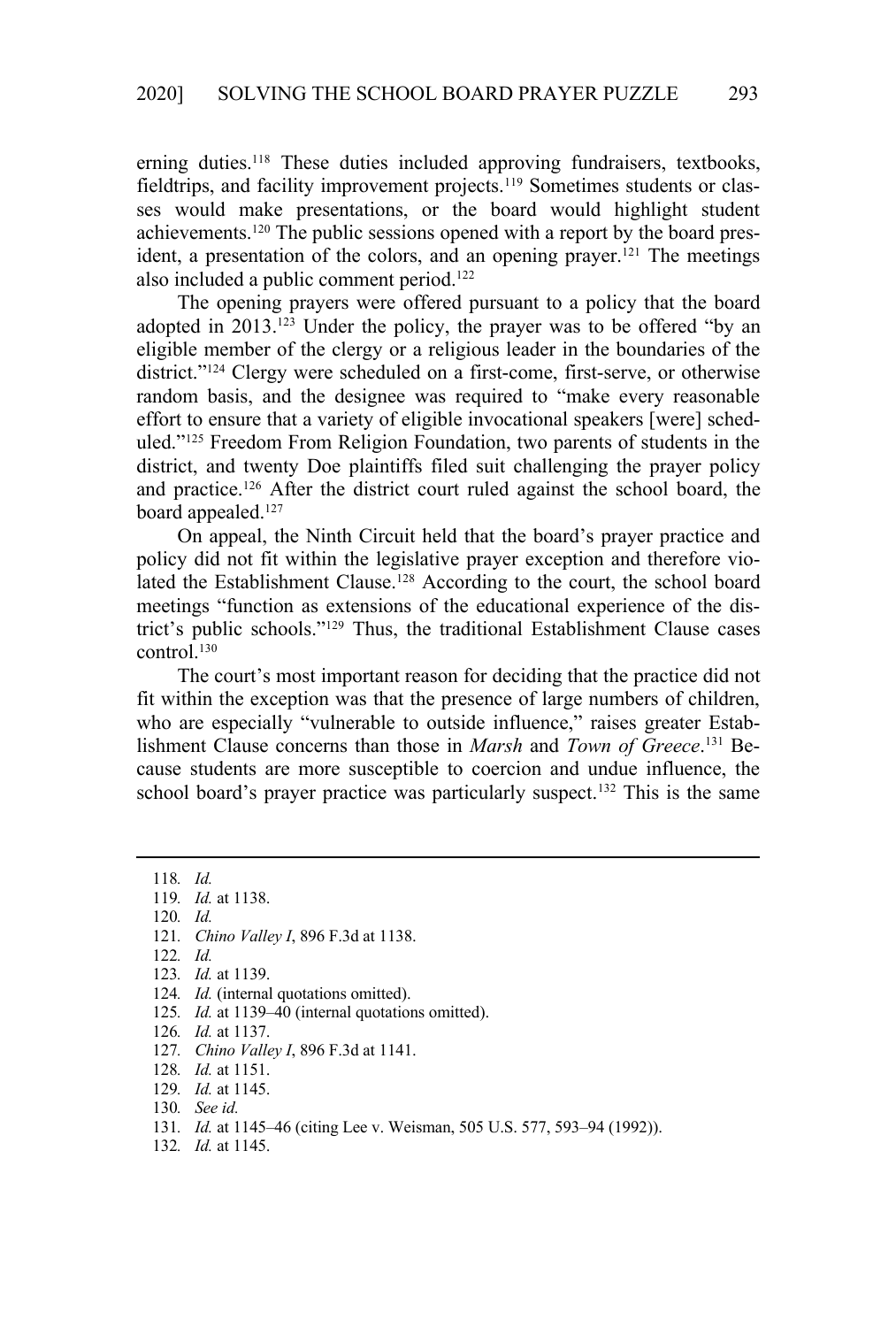erning duties.<sup>118</sup> These duties included approving fundraisers, textbooks, fieldtrips, and facility improvement projects.<sup>119</sup> Sometimes students or classes would make presentations, or the board would highlight student achievements.<sup>120</sup> The public sessions opened with a report by the board president, a presentation of the colors, and an opening prayer.<sup>121</sup> The meetings also included a public comment period.122

The opening prayers were offered pursuant to a policy that the board adopted in 2013.<sup>123</sup> Under the policy, the prayer was to be offered "by an eligible member of the clergy or a religious leader in the boundaries of the district."124 Clergy were scheduled on a first-come, first-serve, or otherwise random basis, and the designee was required to "make every reasonable effort to ensure that a variety of eligible invocational speakers [were] scheduled."125 Freedom From Religion Foundation, two parents of students in the district, and twenty Doe plaintiffs filed suit challenging the prayer policy and practice.126 After the district court ruled against the school board, the board appealed.<sup>127</sup>

On appeal, the Ninth Circuit held that the board's prayer practice and policy did not fit within the legislative prayer exception and therefore violated the Establishment Clause.<sup>128</sup> According to the court, the school board meetings "function as extensions of the educational experience of the district's public schools."129 Thus, the traditional Establishment Clause cases  $control<sup>130</sup>$ 

The court's most important reason for deciding that the practice did not fit within the exception was that the presence of large numbers of children, who are especially "vulnerable to outside influence," raises greater Establishment Clause concerns than those in *Marsh* and *Town of Greece*. 131 Because students are more susceptible to coercion and undue influence, the school board's prayer practice was particularly suspect.<sup>132</sup> This is the same

- 120*. Id.*
- 121*. Chino Valley I*, 896 F.3d at 1138.
- 122*. Id.*
- 123*. Id.* at 1139.
- 124*. Id.* (internal quotations omitted).
- 125*. Id.* at 1139–40 (internal quotations omitted).
- 126*. Id.* at 1137.
- 127*. Chino Valley I*, 896 F.3d at 1141.
- 128*. Id.* at 1151.
- 129*. Id.* at 1145.
- 130*. See id.*
- 131*. Id.* at 1145–46 (citing Lee v. Weisman, 505 U.S. 577, 593–94 (1992)).
- 132*. Id.* at 1145.

<sup>118</sup>*. Id.* 119*. Id.* at 1138.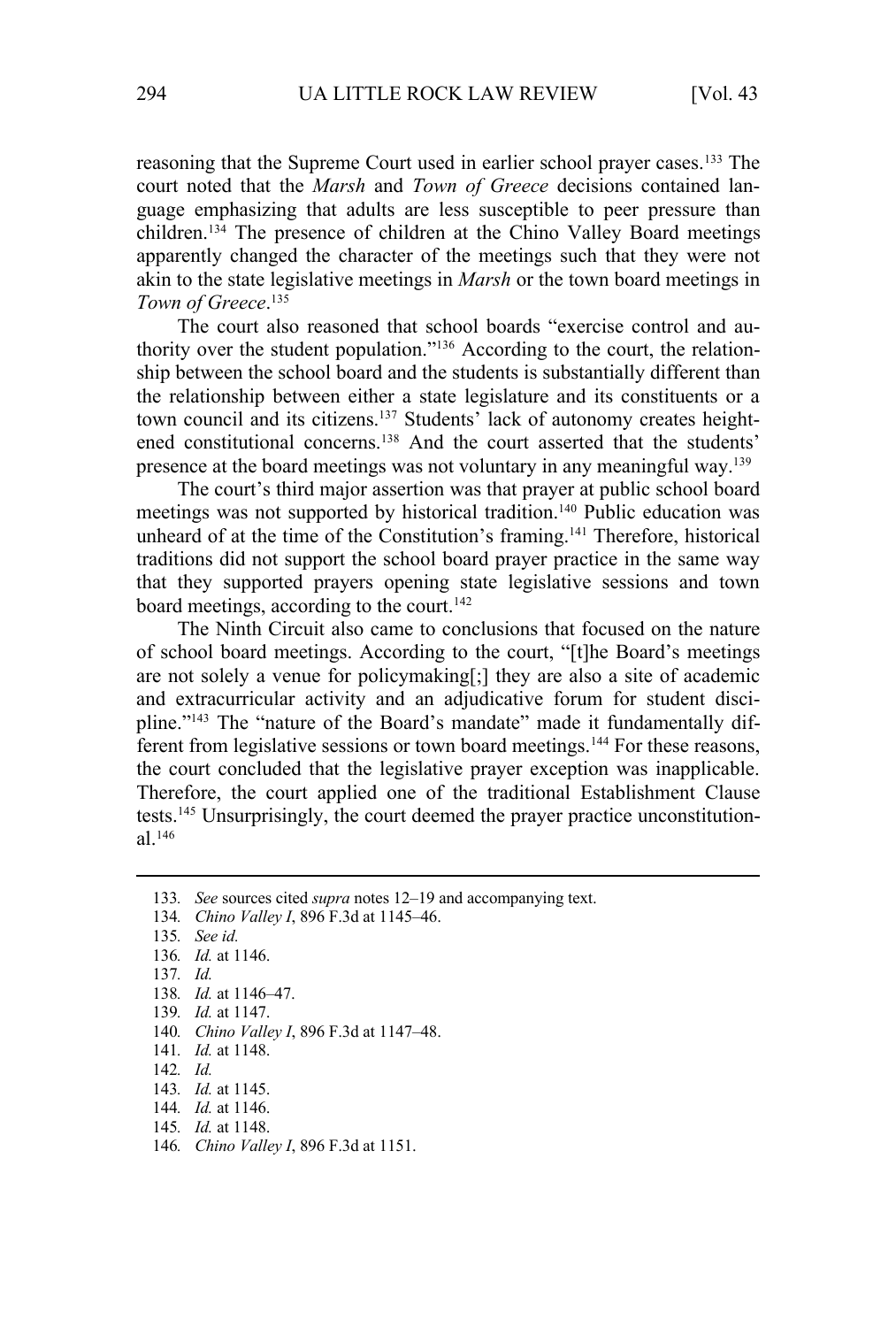reasoning that the Supreme Court used in earlier school prayer cases.133 The court noted that the *Marsh* and *Town of Greece* decisions contained language emphasizing that adults are less susceptible to peer pressure than children.134 The presence of children at the Chino Valley Board meetings apparently changed the character of the meetings such that they were not akin to the state legislative meetings in *Marsh* or the town board meetings in *Town of Greece*. 135

The court also reasoned that school boards "exercise control and authority over the student population."136 According to the court, the relationship between the school board and the students is substantially different than the relationship between either a state legislature and its constituents or a town council and its citizens.<sup>137</sup> Students' lack of autonomy creates heightened constitutional concerns.138 And the court asserted that the students' presence at the board meetings was not voluntary in any meaningful way.139

The court's third major assertion was that prayer at public school board meetings was not supported by historical tradition.<sup>140</sup> Public education was unheard of at the time of the Constitution's framing.<sup>141</sup> Therefore, historical traditions did not support the school board prayer practice in the same way that they supported prayers opening state legislative sessions and town board meetings, according to the court.<sup>142</sup>

The Ninth Circuit also came to conclusions that focused on the nature of school board meetings. According to the court, "[t]he Board's meetings are not solely a venue for policymaking[;] they are also a site of academic and extracurricular activity and an adjudicative forum for student discipline."143 The "nature of the Board's mandate" made it fundamentally different from legislative sessions or town board meetings.<sup>144</sup> For these reasons, the court concluded that the legislative prayer exception was inapplicable. Therefore, the court applied one of the traditional Establishment Clause tests.145 Unsurprisingly, the court deemed the prayer practice unconstitutional.146

134*. Chino Valley I*, 896 F.3d at 1145–46.

- 139*. Id.* at 1147.
- 140*. Chino Valley I*, 896 F.3d at 1147–48.
- 141*. Id.* at 1148.
- 142*. Id.*
- 143*. Id.* at 1145.
- 144*. Id.* at 1146.
- 145*. Id.* at 1148.
- 146*. Chino Valley I*, 896 F.3d at 1151.

<sup>133</sup>*. See* sources cited *supra* notes 12–19 and accompanying text.

<sup>135</sup>*. See id.*

<sup>136</sup>*. Id.* at 1146.

<sup>137</sup>*. Id.*

<sup>138</sup>*. Id.* at 1146–47.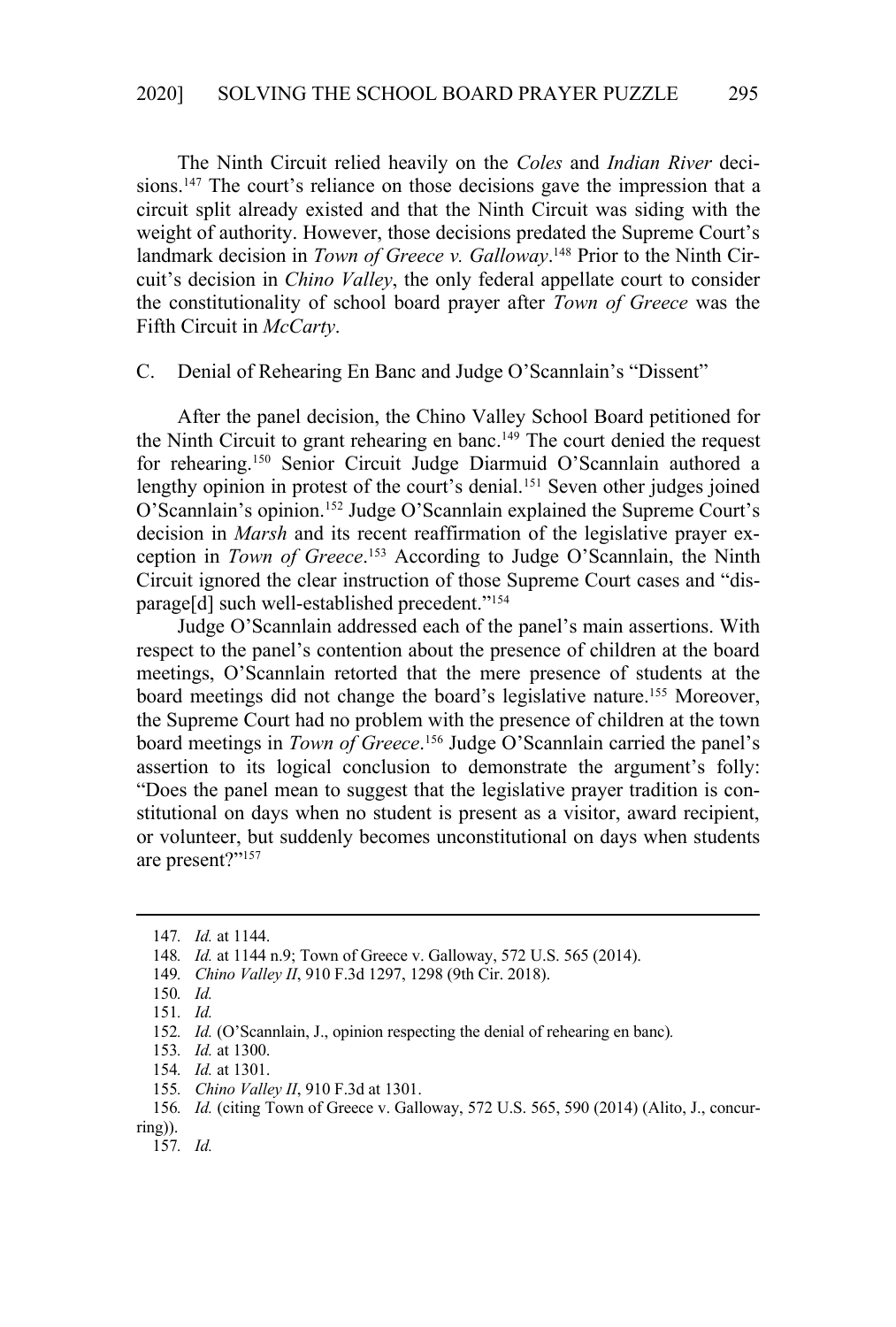The Ninth Circuit relied heavily on the *Coles* and *Indian River* decisions.<sup>147</sup> The court's reliance on those decisions gave the impression that a circuit split already existed and that the Ninth Circuit was siding with the weight of authority. However, those decisions predated the Supreme Court's landmark decision in *Town of Greece v. Galloway*. 148 Prior to the Ninth Circuit's decision in *Chino Valley*, the only federal appellate court to consider the constitutionality of school board prayer after *Town of Greece* was the Fifth Circuit in *McCarty*.

#### C. Denial of Rehearing En Banc and Judge O'Scannlain's "Dissent"

After the panel decision, the Chino Valley School Board petitioned for the Ninth Circuit to grant rehearing en banc.<sup>149</sup> The court denied the request for rehearing.150 Senior Circuit Judge Diarmuid O'Scannlain authored a lengthy opinion in protest of the court's denial.<sup>151</sup> Seven other judges joined O'Scannlain's opinion.152 Judge O'Scannlain explained the Supreme Court's decision in *Marsh* and its recent reaffirmation of the legislative prayer exception in *Town of Greece*. 153 According to Judge O'Scannlain, the Ninth Circuit ignored the clear instruction of those Supreme Court cases and "disparage[d] such well-established precedent."154

Judge O'Scannlain addressed each of the panel's main assertions. With respect to the panel's contention about the presence of children at the board meetings, O'Scannlain retorted that the mere presence of students at the board meetings did not change the board's legislative nature.155 Moreover, the Supreme Court had no problem with the presence of children at the town board meetings in *Town of Greece*. 156 Judge O'Scannlain carried the panel's assertion to its logical conclusion to demonstrate the argument's folly: "Does the panel mean to suggest that the legislative prayer tradition is constitutional on days when no student is present as a visitor, award recipient, or volunteer, but suddenly becomes unconstitutional on days when students are present?"157

<sup>147</sup>*. Id.* at 1144.

<sup>148</sup>*. Id.* at 1144 n.9; Town of Greece v. Galloway, 572 U.S. 565 (2014).

<sup>149</sup>*. Chino Valley II*, 910 F.3d 1297, 1298 (9th Cir. 2018).

<sup>150</sup>*. Id.*

<sup>151</sup>*. Id.* 

<sup>152</sup>*. Id.* (O'Scannlain, J., opinion respecting the denial of rehearing en banc)*.*

<sup>153</sup>*. Id.* at 1300.

<sup>154</sup>*. Id.* at 1301.

<sup>155</sup>*. Chino Valley II*, 910 F.3d at 1301.

<sup>156</sup>*. Id.* (citing Town of Greece v. Galloway, 572 U.S. 565, 590 (2014) (Alito, J., concurring)).

<sup>157</sup>*. Id.*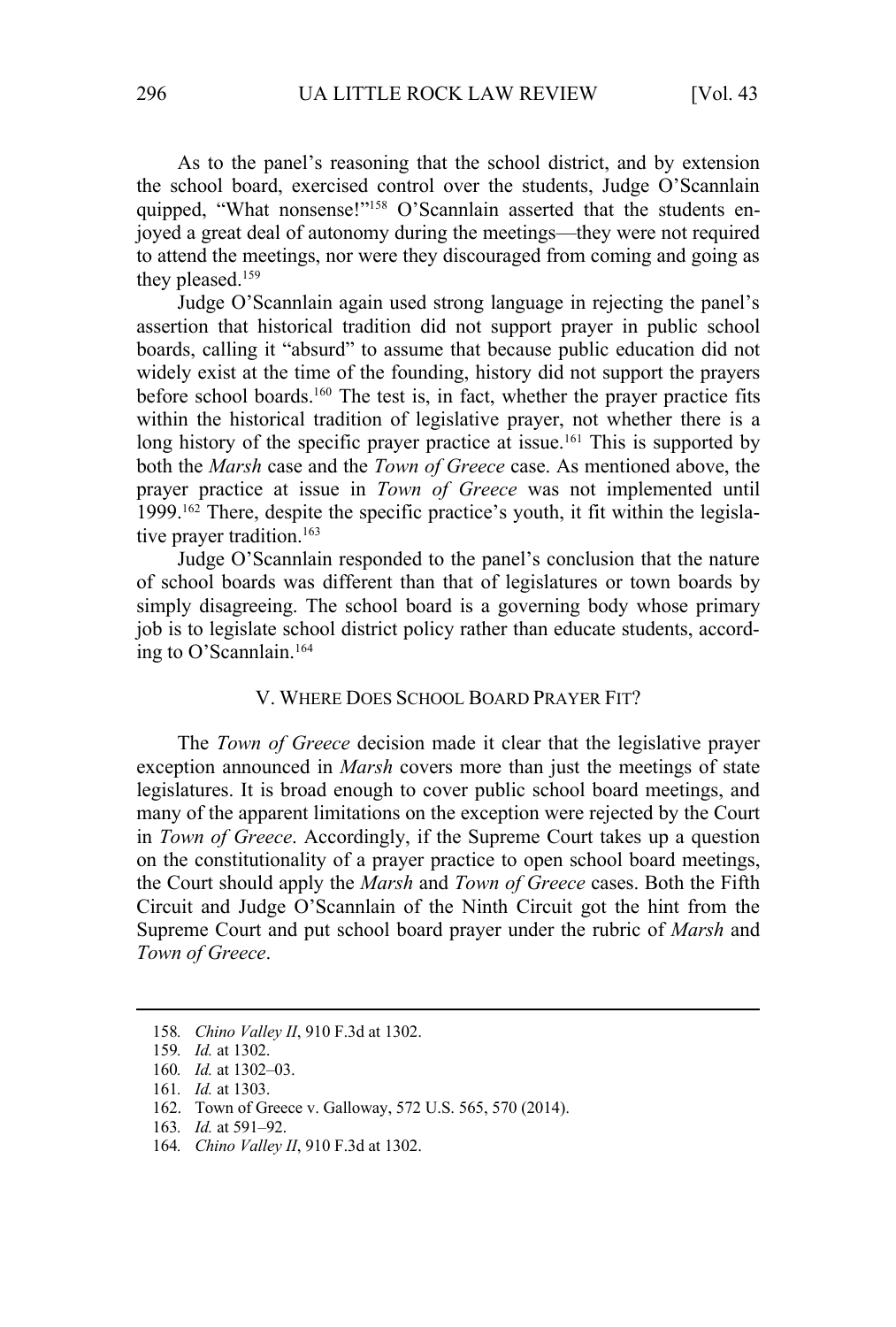As to the panel's reasoning that the school district, and by extension the school board, exercised control over the students, Judge O'Scannlain quipped, "What nonsense!"<sup>158</sup> O'Scannlain asserted that the students enjoyed a great deal of autonomy during the meetings—they were not required to attend the meetings, nor were they discouraged from coming and going as they pleased.<sup>159</sup>

Judge O'Scannlain again used strong language in rejecting the panel's assertion that historical tradition did not support prayer in public school boards, calling it "absurd" to assume that because public education did not widely exist at the time of the founding, history did not support the prayers before school boards.160 The test is, in fact, whether the prayer practice fits within the historical tradition of legislative prayer, not whether there is a long history of the specific prayer practice at issue.<sup>161</sup> This is supported by both the *Marsh* case and the *Town of Greece* case. As mentioned above, the prayer practice at issue in *Town of Greece* was not implemented until 1999.162 There, despite the specific practice's youth, it fit within the legislative prayer tradition.<sup>163</sup>

Judge O'Scannlain responded to the panel's conclusion that the nature of school boards was different than that of legislatures or town boards by simply disagreeing. The school board is a governing body whose primary job is to legislate school district policy rather than educate students, according to O'Scannlain.164

#### V. WHERE DOES SCHOOL BOARD PRAYER FIT?

The *Town of Greece* decision made it clear that the legislative prayer exception announced in *Marsh* covers more than just the meetings of state legislatures. It is broad enough to cover public school board meetings, and many of the apparent limitations on the exception were rejected by the Court in *Town of Greece*. Accordingly, if the Supreme Court takes up a question on the constitutionality of a prayer practice to open school board meetings, the Court should apply the *Marsh* and *Town of Greece* cases. Both the Fifth Circuit and Judge O'Scannlain of the Ninth Circuit got the hint from the Supreme Court and put school board prayer under the rubric of *Marsh* and *Town of Greece*.

<sup>158</sup>*. Chino Valley II*, 910 F.3d at 1302.

<sup>159</sup>*. Id.* at 1302.

<sup>160</sup>*. Id.* at 1302–03.

<sup>161</sup>*. Id.* at 1303.

<sup>162.</sup> Town of Greece v. Galloway, 572 U.S. 565, 570 (2014).

<sup>163</sup>*. Id.* at 591–92.

<sup>164</sup>*. Chino Valley II*, 910 F.3d at 1302.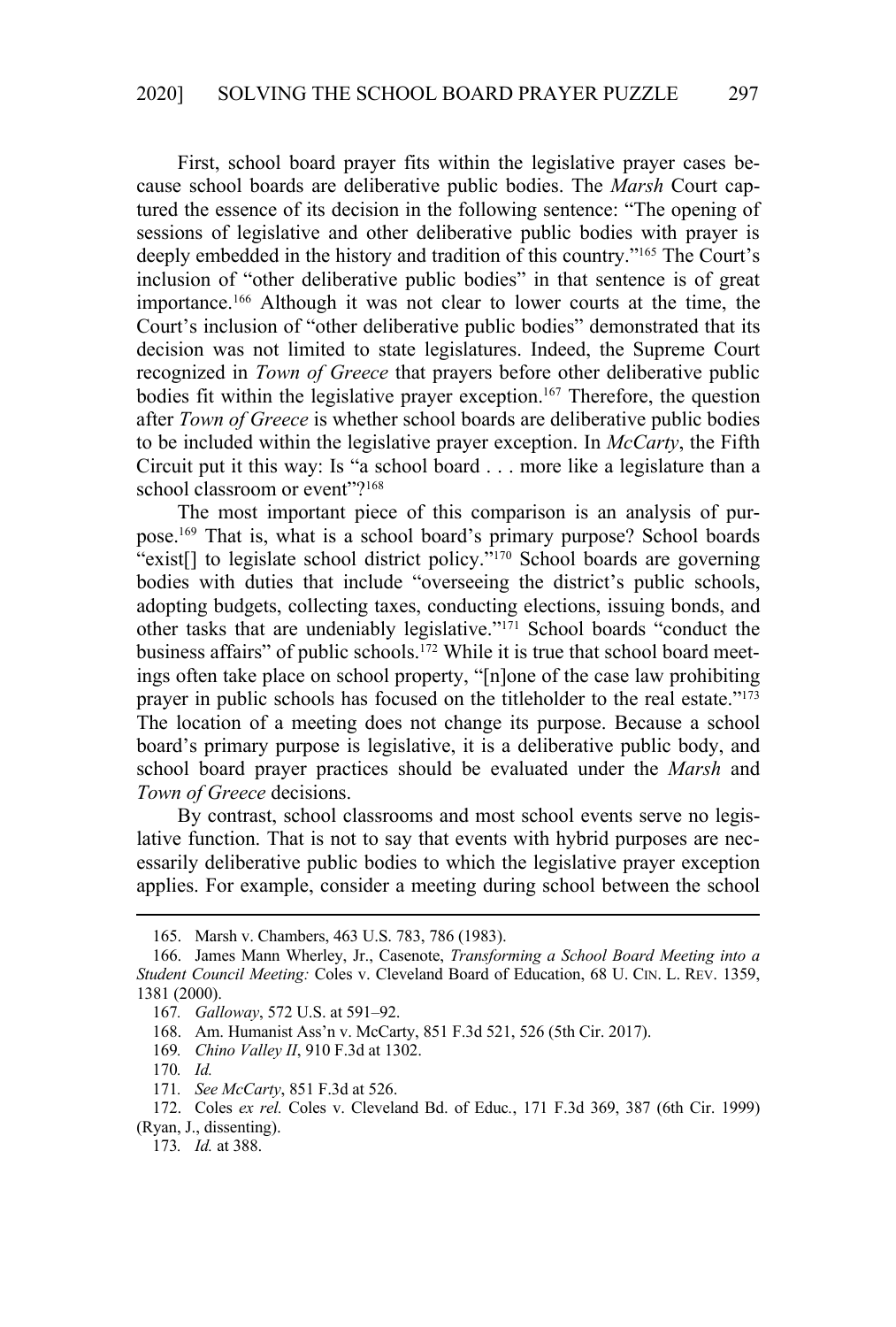First, school board prayer fits within the legislative prayer cases because school boards are deliberative public bodies. The *Marsh* Court captured the essence of its decision in the following sentence: "The opening of sessions of legislative and other deliberative public bodies with prayer is deeply embedded in the history and tradition of this country."165 The Court's inclusion of "other deliberative public bodies" in that sentence is of great importance.166 Although it was not clear to lower courts at the time, the Court's inclusion of "other deliberative public bodies" demonstrated that its decision was not limited to state legislatures. Indeed, the Supreme Court recognized in *Town of Greece* that prayers before other deliberative public bodies fit within the legislative prayer exception.<sup>167</sup> Therefore, the question after *Town of Greece* is whether school boards are deliberative public bodies to be included within the legislative prayer exception. In *McCarty*, the Fifth Circuit put it this way: Is "a school board . . . more like a legislature than a school classroom or event"?<sup>168</sup>

The most important piece of this comparison is an analysis of purpose.169 That is, what is a school board's primary purpose? School boards "exist<sup>[]</sup> to legislate school district policy."<sup>170</sup> School boards are governing bodies with duties that include "overseeing the district's public schools, adopting budgets, collecting taxes, conducting elections, issuing bonds, and other tasks that are undeniably legislative."171 School boards "conduct the business affairs" of public schools.<sup>172</sup> While it is true that school board meetings often take place on school property, "[n]one of the case law prohibiting prayer in public schools has focused on the titleholder to the real estate."<sup>173</sup> The location of a meeting does not change its purpose. Because a school board's primary purpose is legislative, it is a deliberative public body, and school board prayer practices should be evaluated under the *Marsh* and *Town of Greece* decisions.

By contrast, school classrooms and most school events serve no legislative function. That is not to say that events with hybrid purposes are necessarily deliberative public bodies to which the legislative prayer exception applies. For example, consider a meeting during school between the school

<sup>165.</sup> Marsh v. Chambers, 463 U.S. 783, 786 (1983).

<sup>166.</sup> James Mann Wherley, Jr., Casenote, *Transforming a School Board Meeting into a Student Council Meeting:* Coles v. Cleveland Board of Education, 68 U. CIN. L. REV. 1359, 1381 (2000).

<sup>167</sup>*. Galloway*, 572 U.S. at 591–92.

<sup>168.</sup> Am. Humanist Ass'n v. McCarty, 851 F.3d 521, 526 (5th Cir. 2017).

<sup>169</sup>*. Chino Valley II*, 910 F.3d at 1302.

<sup>170</sup>*. Id.*

<sup>171</sup>*. See McCarty*, 851 F.3d at 526.

<sup>172.</sup> Coles *ex rel.* Coles v. Cleveland Bd. of Educ*.*, 171 F.3d 369, 387 (6th Cir. 1999) (Ryan, J., dissenting).

<sup>173</sup>*. Id.* at 388.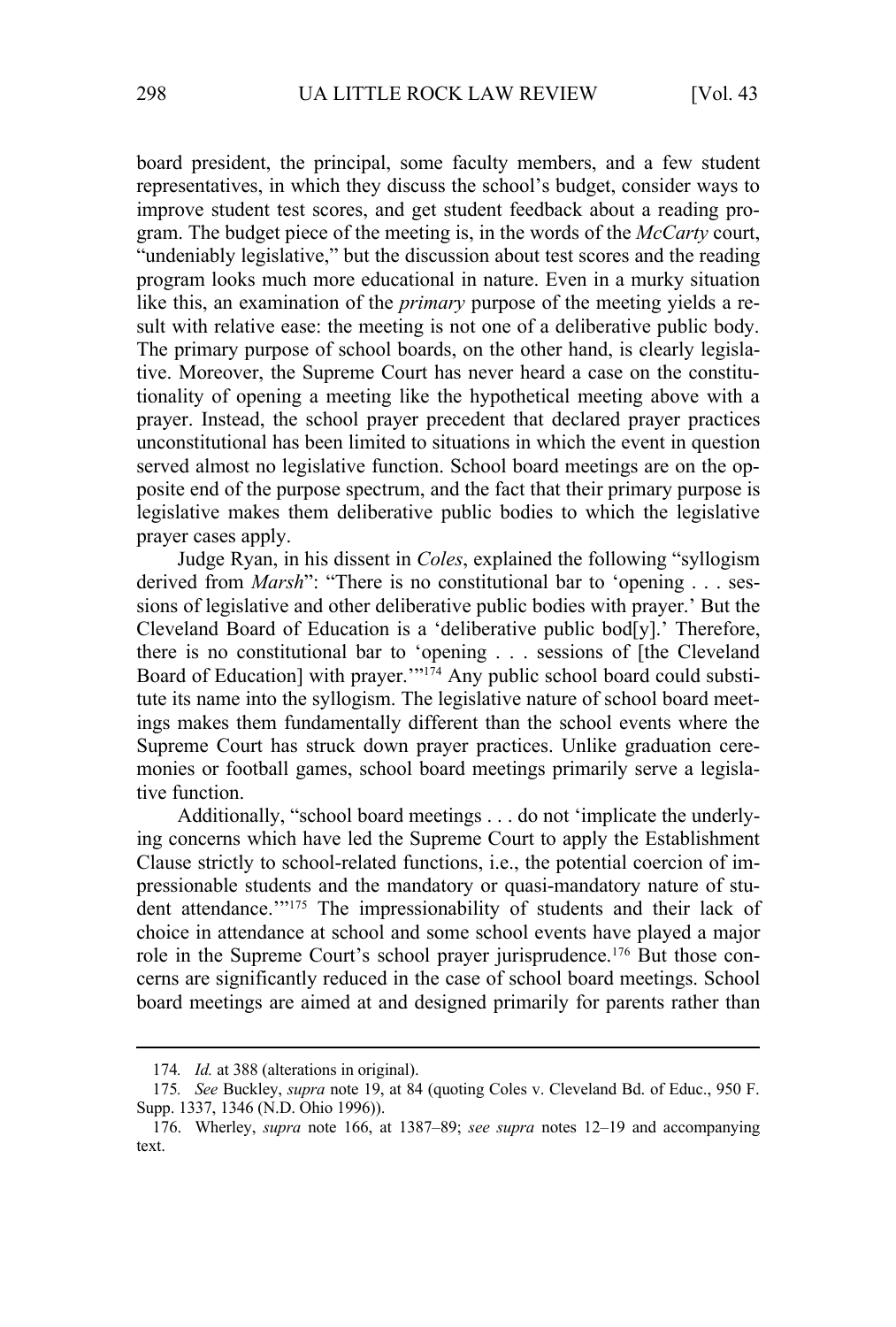board president, the principal, some faculty members, and a few student representatives, in which they discuss the school's budget, consider ways to improve student test scores, and get student feedback about a reading program. The budget piece of the meeting is, in the words of the *McCarty* court, "undeniably legislative," but the discussion about test scores and the reading program looks much more educational in nature. Even in a murky situation like this, an examination of the *primary* purpose of the meeting yields a result with relative ease: the meeting is not one of a deliberative public body. The primary purpose of school boards, on the other hand, is clearly legislative. Moreover, the Supreme Court has never heard a case on the constitutionality of opening a meeting like the hypothetical meeting above with a prayer. Instead, the school prayer precedent that declared prayer practices unconstitutional has been limited to situations in which the event in question served almost no legislative function. School board meetings are on the opposite end of the purpose spectrum, and the fact that their primary purpose is legislative makes them deliberative public bodies to which the legislative prayer cases apply.

Judge Ryan, in his dissent in *Coles*, explained the following "syllogism derived from *Marsh*": "There is no constitutional bar to 'opening . . . sessions of legislative and other deliberative public bodies with prayer.' But the Cleveland Board of Education is a 'deliberative public bod[y].' Therefore, there is no constitutional bar to 'opening . . . sessions of [the Cleveland Board of Education] with prayer."<sup>174</sup> Any public school board could substitute its name into the syllogism. The legislative nature of school board meetings makes them fundamentally different than the school events where the Supreme Court has struck down prayer practices. Unlike graduation ceremonies or football games, school board meetings primarily serve a legislative function.

Additionally, "school board meetings . . . do not 'implicate the underlying concerns which have led the Supreme Court to apply the Establishment Clause strictly to school-related functions, i.e., the potential coercion of impressionable students and the mandatory or quasi-mandatory nature of student attendance."<sup>175</sup> The impressionability of students and their lack of choice in attendance at school and some school events have played a major role in the Supreme Court's school prayer jurisprudence.<sup>176</sup> But those concerns are significantly reduced in the case of school board meetings. School board meetings are aimed at and designed primarily for parents rather than

<sup>174</sup>*. Id.* at 388 (alterations in original).

<sup>175</sup>*. See* Buckley, *supra* note 19, at 84 (quoting Coles v. Cleveland Bd. of Educ., 950 F. Supp. 1337, 1346 (N.D. Ohio 1996)).

<sup>176.</sup> Wherley, *supra* note 166, at 1387–89; *see supra* notes 12–19 and accompanying text.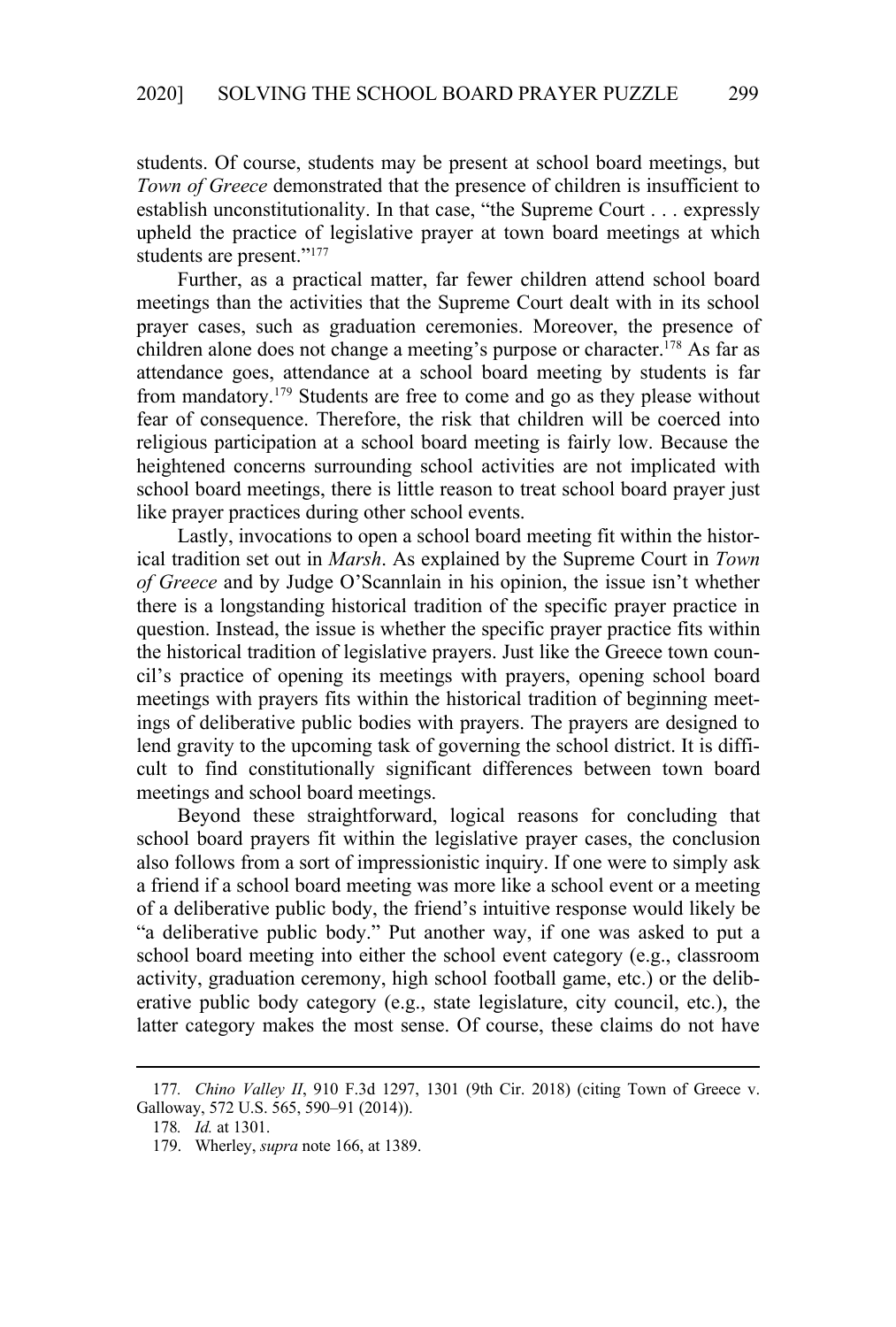students. Of course, students may be present at school board meetings, but *Town of Greece* demonstrated that the presence of children is insufficient to establish unconstitutionality. In that case, "the Supreme Court . . . expressly upheld the practice of legislative prayer at town board meetings at which students are present."177

Further, as a practical matter, far fewer children attend school board meetings than the activities that the Supreme Court dealt with in its school prayer cases, such as graduation ceremonies. Moreover, the presence of children alone does not change a meeting's purpose or character.<sup>178</sup> As far as attendance goes, attendance at a school board meeting by students is far from mandatory.179 Students are free to come and go as they please without fear of consequence. Therefore, the risk that children will be coerced into religious participation at a school board meeting is fairly low. Because the heightened concerns surrounding school activities are not implicated with school board meetings, there is little reason to treat school board prayer just like prayer practices during other school events.

Lastly, invocations to open a school board meeting fit within the historical tradition set out in *Marsh*. As explained by the Supreme Court in *Town of Greece* and by Judge O'Scannlain in his opinion, the issue isn't whether there is a longstanding historical tradition of the specific prayer practice in question. Instead, the issue is whether the specific prayer practice fits within the historical tradition of legislative prayers. Just like the Greece town council's practice of opening its meetings with prayers, opening school board meetings with prayers fits within the historical tradition of beginning meetings of deliberative public bodies with prayers. The prayers are designed to lend gravity to the upcoming task of governing the school district. It is difficult to find constitutionally significant differences between town board meetings and school board meetings.

Beyond these straightforward, logical reasons for concluding that school board prayers fit within the legislative prayer cases, the conclusion also follows from a sort of impressionistic inquiry. If one were to simply ask a friend if a school board meeting was more like a school event or a meeting of a deliberative public body, the friend's intuitive response would likely be "a deliberative public body." Put another way, if one was asked to put a school board meeting into either the school event category (e.g., classroom activity, graduation ceremony, high school football game, etc.) or the deliberative public body category (e.g., state legislature, city council, etc.), the latter category makes the most sense. Of course, these claims do not have

<sup>177</sup>*. Chino Valley II*, 910 F.3d 1297, 1301 (9th Cir. 2018) (citing Town of Greece v. Galloway, 572 U.S. 565, 590–91 (2014)).

<sup>178</sup>*. Id.* at 1301.

<sup>179.</sup> Wherley, *supra* note 166, at 1389.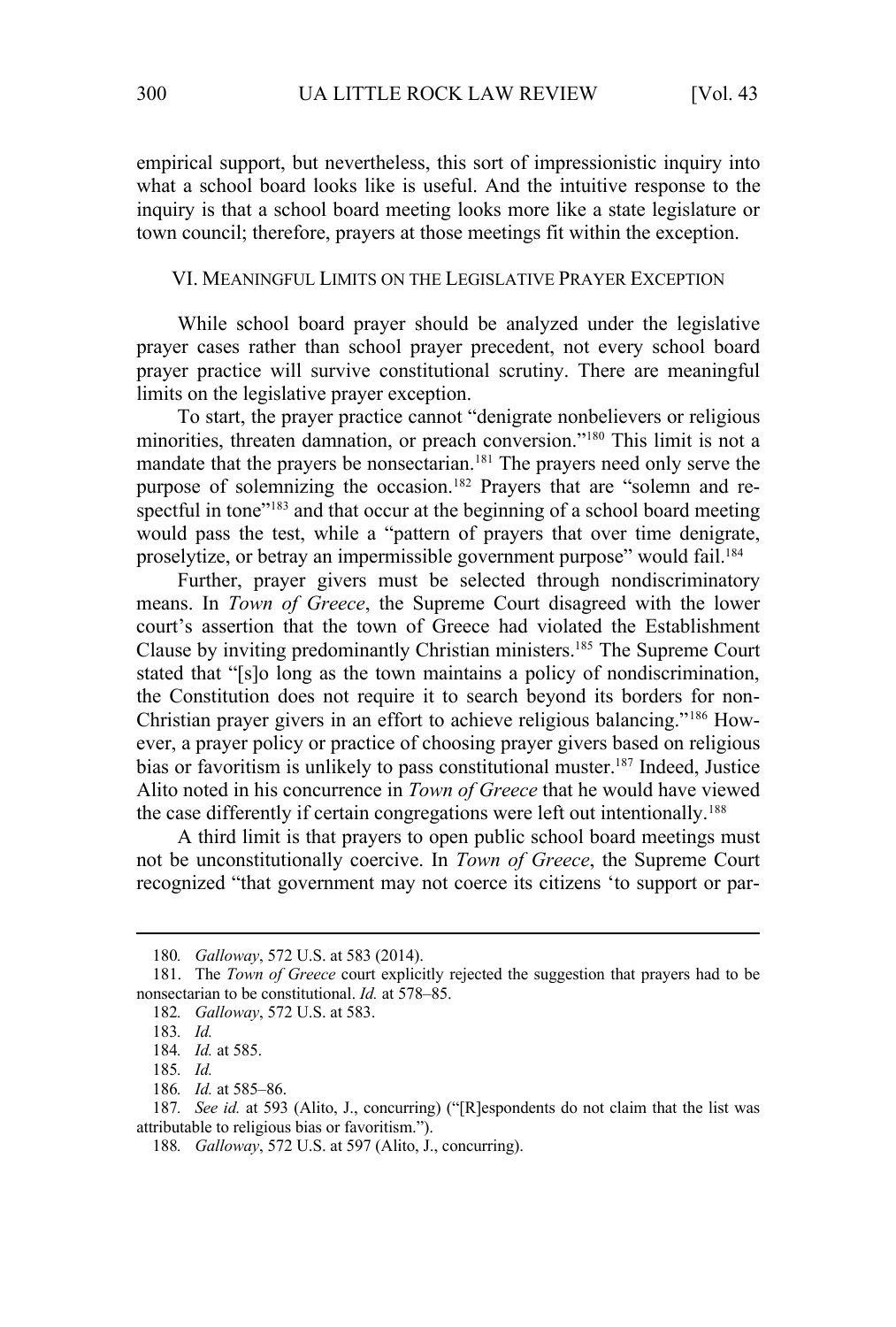empirical support, but nevertheless, this sort of impressionistic inquiry into what a school board looks like is useful. And the intuitive response to the inquiry is that a school board meeting looks more like a state legislature or town council; therefore, prayers at those meetings fit within the exception.

#### VI. MEANINGFUL LIMITS ON THE LEGISLATIVE PRAYER EXCEPTION

While school board prayer should be analyzed under the legislative prayer cases rather than school prayer precedent, not every school board prayer practice will survive constitutional scrutiny. There are meaningful limits on the legislative prayer exception.

To start, the prayer practice cannot "denigrate nonbelievers or religious minorities, threaten damnation, or preach conversion."180 This limit is not a mandate that the prayers be nonsectarian.<sup>181</sup> The prayers need only serve the purpose of solemnizing the occasion.<sup>182</sup> Prayers that are "solemn and respectful in tone"<sup>183</sup> and that occur at the beginning of a school board meeting would pass the test, while a "pattern of prayers that over time denigrate, proselytize, or betray an impermissible government purpose" would fail.<sup>184</sup>

Further, prayer givers must be selected through nondiscriminatory means. In *Town of Greece*, the Supreme Court disagreed with the lower court's assertion that the town of Greece had violated the Establishment Clause by inviting predominantly Christian ministers.185 The Supreme Court stated that "[s]o long as the town maintains a policy of nondiscrimination, the Constitution does not require it to search beyond its borders for non-Christian prayer givers in an effort to achieve religious balancing."186 However, a prayer policy or practice of choosing prayer givers based on religious bias or favoritism is unlikely to pass constitutional muster.187 Indeed, Justice Alito noted in his concurrence in *Town of Greece* that he would have viewed the case differently if certain congregations were left out intentionally.<sup>188</sup>

A third limit is that prayers to open public school board meetings must not be unconstitutionally coercive. In *Town of Greece*, the Supreme Court recognized "that government may not coerce its citizens 'to support or par-

<sup>180</sup>*. Galloway*, 572 U.S. at 583 (2014).

<sup>181.</sup> The *Town of Greece* court explicitly rejected the suggestion that prayers had to be nonsectarian to be constitutional. *Id.* at 578–85.

<sup>182</sup>*. Galloway*, 572 U.S. at 583.

<sup>183</sup>*. Id.*

<sup>184</sup>*. Id.* at 585.

<sup>185</sup>*. Id.*

<sup>186</sup>*. Id.* at 585–86.

<sup>187</sup>*. See id.* at 593 (Alito, J., concurring) ("[R]espondents do not claim that the list was attributable to religious bias or favoritism.").

<sup>188</sup>*. Galloway*, 572 U.S. at 597 (Alito, J., concurring).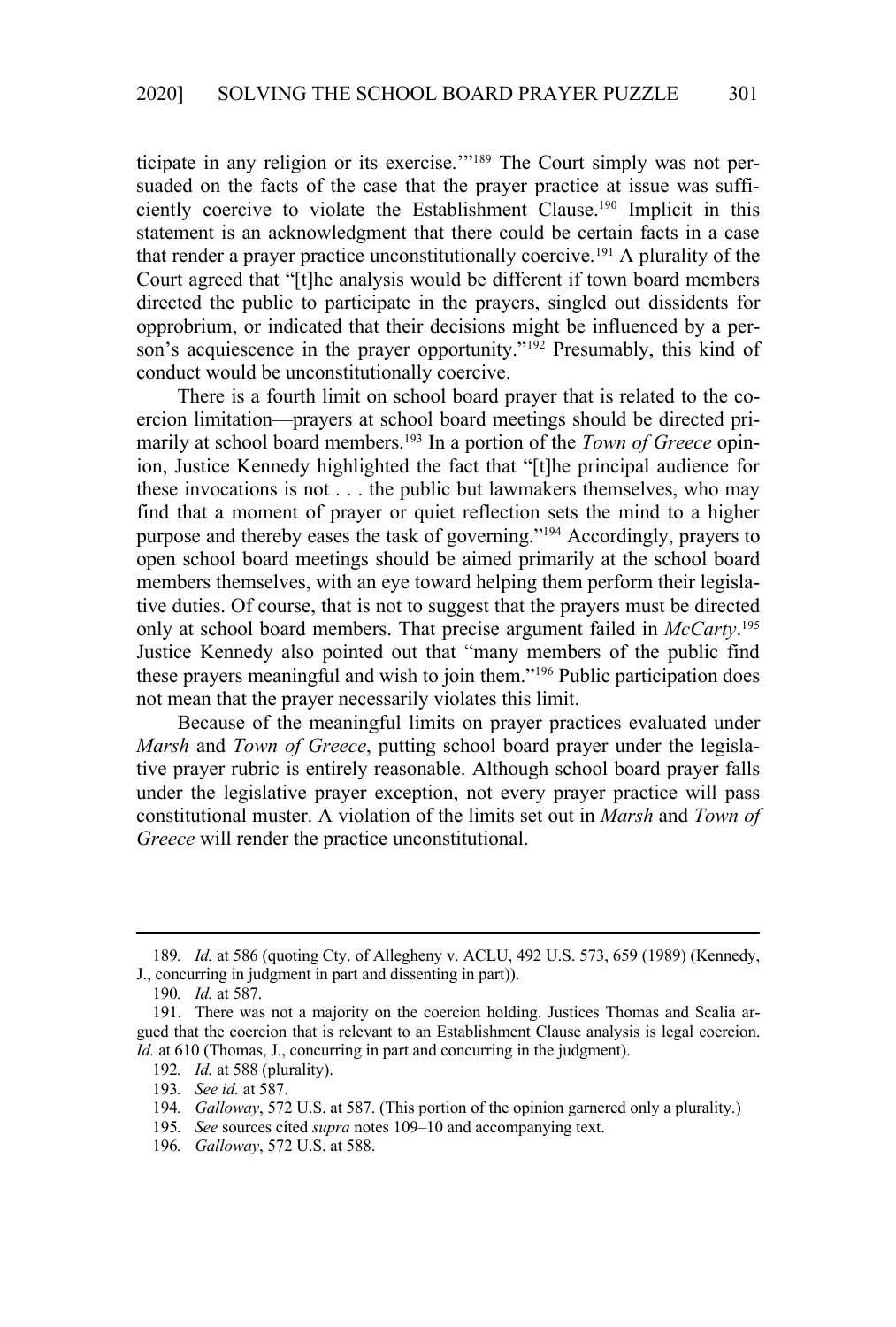ticipate in any religion or its exercise.'"189 The Court simply was not persuaded on the facts of the case that the prayer practice at issue was sufficiently coercive to violate the Establishment Clause.190 Implicit in this statement is an acknowledgment that there could be certain facts in a case that render a prayer practice unconstitutionally coercive.191 A plurality of the Court agreed that "[t]he analysis would be different if town board members directed the public to participate in the prayers, singled out dissidents for opprobrium, or indicated that their decisions might be influenced by a person's acquiescence in the prayer opportunity."<sup>192</sup> Presumably, this kind of conduct would be unconstitutionally coercive.

There is a fourth limit on school board prayer that is related to the coercion limitation—prayers at school board meetings should be directed primarily at school board members.193 In a portion of the *Town of Greece* opinion, Justice Kennedy highlighted the fact that "[t]he principal audience for these invocations is not . . . the public but lawmakers themselves, who may find that a moment of prayer or quiet reflection sets the mind to a higher purpose and thereby eases the task of governing."194 Accordingly, prayers to open school board meetings should be aimed primarily at the school board members themselves, with an eye toward helping them perform their legislative duties. Of course, that is not to suggest that the prayers must be directed only at school board members. That precise argument failed in *McCarty*. 195 Justice Kennedy also pointed out that "many members of the public find these prayers meaningful and wish to join them."196 Public participation does not mean that the prayer necessarily violates this limit.

Because of the meaningful limits on prayer practices evaluated under *Marsh* and *Town of Greece*, putting school board prayer under the legislative prayer rubric is entirely reasonable. Although school board prayer falls under the legislative prayer exception, not every prayer practice will pass constitutional muster. A violation of the limits set out in *Marsh* and *Town of Greece* will render the practice unconstitutional.

<sup>189</sup>*. Id.* at 586 (quoting Cty. of Allegheny v. ACLU, 492 U.S. 573, 659 (1989) (Kennedy, J., concurring in judgment in part and dissenting in part)).

<sup>190</sup>*. Id.* at 587.

<sup>191.</sup> There was not a majority on the coercion holding. Justices Thomas and Scalia argued that the coercion that is relevant to an Establishment Clause analysis is legal coercion. *Id.* at 610 (Thomas, J., concurring in part and concurring in the judgment).

<sup>192</sup>*. Id.* at 588 (plurality).

<sup>193</sup>*. See id.* at 587.

<sup>194</sup>*. Galloway*, 572 U.S. at 587. (This portion of the opinion garnered only a plurality.)

<sup>195</sup>*. See* sources cited *supra* notes 109–10 and accompanying text.

<sup>196</sup>*. Galloway*, 572 U.S. at 588.